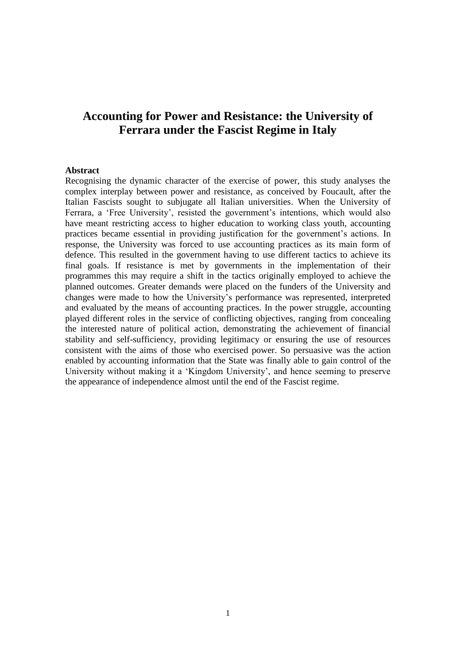# **Accounting for Power and Resistance: the University of Ferrara under the Fascist Regime in Italy**

#### **Abstract**

Recognising the dynamic character of the exercise of power, this study analyses the complex interplay between power and resistance, as conceived by Foucault, after the Italian Fascists sought to subjugate all Italian universities. When the University of Ferrara, a 'Free University', resisted the government's intentions, which would also have meant restricting access to higher education to working class youth, accounting practices became essential in providing justification for the government's actions. In response, the University was forced to use accounting practices as its main form of defence. This resulted in the government having to use different tactics to achieve its final goals. If resistance is met by governments in the implementation of their programmes this may require a shift in the tactics originally employed to achieve the planned outcomes. Greater demands were placed on the funders of the University and changes were made to how the University's performance was represented, interpreted and evaluated by the means of accounting practices. In the power struggle, accounting played different roles in the service of conflicting objectives, ranging from concealing the interested nature of political action, demonstrating the achievement of financial stability and self-sufficiency, providing legitimacy or ensuring the use of resources consistent with the aims of those who exercised power. So persuasive was the action enabled by accounting information that the State was finally able to gain control of the University without making it a 'Kingdom University', and hence seeming to preserve the appearance of independence almost until the end of the Fascist regime.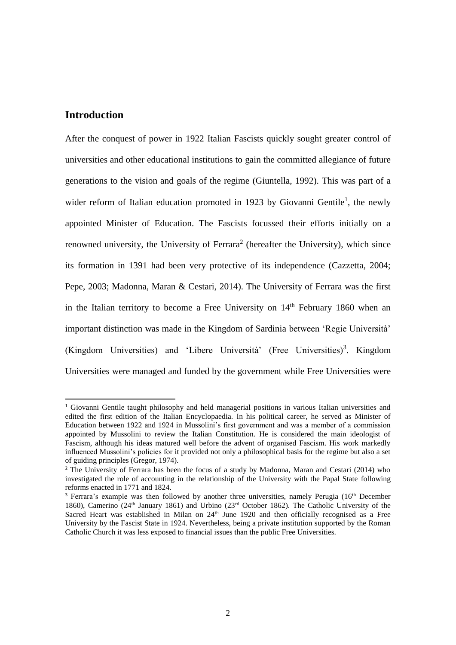# **Introduction**

 $\overline{a}$ 

After the conquest of power in 1922 Italian Fascists quickly sought greater control of universities and other educational institutions to gain the committed allegiance of future generations to the vision and goals of the regime (Giuntella, 1992). This was part of a wider reform of Italian education promoted in 1923 by Giovanni Gentile<sup>1</sup>, the newly appointed Minister of Education. The Fascists focussed their efforts initially on a renowned university, the University of Ferrara<sup>2</sup> (hereafter the University), which since its formation in 1391 had been very protective of its independence (Cazzetta, 2004; Pepe, 2003; Madonna, Maran & Cestari, 2014). The University of Ferrara was the first in the Italian territory to become a Free University on  $14<sup>th</sup>$  February 1860 when an important distinction was made in the Kingdom of Sardinia between 'Regie Università' (Kingdom Universities) and 'Libere Università' (Free Universities)<sup>3</sup>. Kingdom Universities were managed and funded by the government while Free Universities were

 $1$  Giovanni Gentile taught philosophy and held managerial positions in various Italian universities and edited the first edition of the Italian Encyclopaedia. In his political career, he served as Minister of Education between 1922 and 1924 in Mussolini's first government and was a member of a commission appointed by Mussolini to review the Italian Constitution. He is considered the main ideologist of Fascism, although his ideas matured well before the advent of organised Fascism. His work markedly influenced Mussolini's policies for it provided not only a philosophical basis for the regime but also a set of guiding principles (Gregor, 1974).

<sup>&</sup>lt;sup>2</sup> The University of Ferrara has been the focus of a study by Madonna, Maran and Cestari (2014) who investigated the role of accounting in the relationship of the University with the Papal State following reforms enacted in 1771 and 1824.

<sup>&</sup>lt;sup>3</sup> Ferrara's example was then followed by another three universities, namely Perugia (16<sup>th</sup> December 1860), Camerino (24<sup>th</sup> January 1861) and Urbino (23<sup>rd</sup> October 1862). The Catholic University of the Sacred Heart was established in Milan on  $24<sup>th</sup>$  June 1920 and then officially recognised as a Free University by the Fascist State in 1924. Nevertheless, being a private institution supported by the Roman Catholic Church it was less exposed to financial issues than the public Free Universities.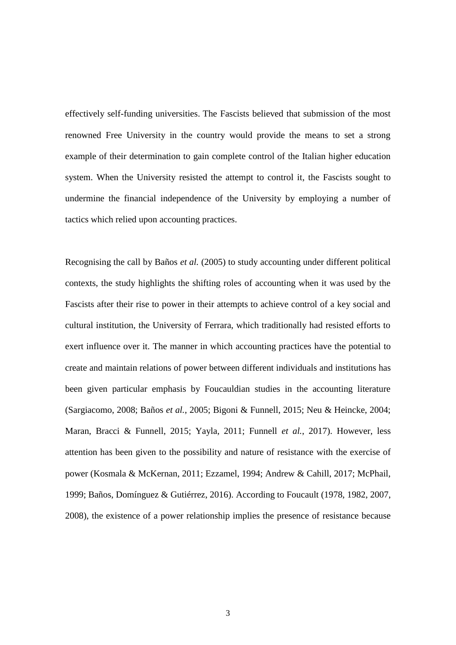effectively self-funding universities. The Fascists believed that submission of the most renowned Free University in the country would provide the means to set a strong example of their determination to gain complete control of the Italian higher education system. When the University resisted the attempt to control it, the Fascists sought to undermine the financial independence of the University by employing a number of tactics which relied upon accounting practices.

Recognising the call by Baños *et al.* (2005) to study accounting under different political contexts, the study highlights the shifting roles of accounting when it was used by the Fascists after their rise to power in their attempts to achieve control of a key social and cultural institution, the University of Ferrara, which traditionally had resisted efforts to exert influence over it. The manner in which accounting practices have the potential to create and maintain relations of power between different individuals and institutions has been given particular emphasis by Foucauldian studies in the accounting literature (Sargiacomo, 2008; Baños *et al.*, 2005; Bigoni & Funnell, 2015; Neu & Heincke, 2004; Maran, Bracci & Funnell, 2015; Yayla, 2011; Funnell *et al.*, 2017). However, less attention has been given to the possibility and nature of resistance with the exercise of power (Kosmala & McKernan, 2011; Ezzamel, 1994; Andrew & Cahill, 2017; McPhail, 1999; Baños, Domínguez & Gutiérrez, 2016). According to Foucault (1978, 1982, 2007, 2008), the existence of a power relationship implies the presence of resistance because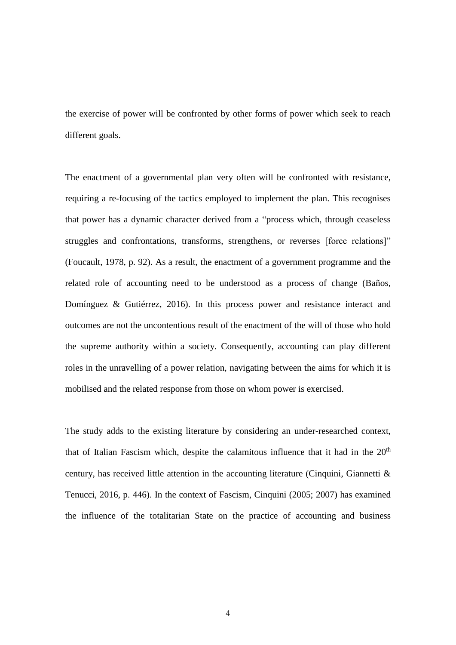the exercise of power will be confronted by other forms of power which seek to reach different goals.

The enactment of a governmental plan very often will be confronted with resistance, requiring a re-focusing of the tactics employed to implement the plan. This recognises that power has a dynamic character derived from a "process which, through ceaseless struggles and confrontations, transforms, strengthens, or reverses [force relations]" (Foucault, 1978, p. 92). As a result, the enactment of a government programme and the related role of accounting need to be understood as a process of change (Baños, Domínguez & Gutiérrez, 2016). In this process power and resistance interact and outcomes are not the uncontentious result of the enactment of the will of those who hold the supreme authority within a society. Consequently, accounting can play different roles in the unravelling of a power relation, navigating between the aims for which it is mobilised and the related response from those on whom power is exercised.

The study adds to the existing literature by considering an under-researched context, that of Italian Fascism which, despite the calamitous influence that it had in the  $20<sup>th</sup>$ century, has received little attention in the accounting literature (Cinquini, Giannetti & Tenucci, 2016, p. 446). In the context of Fascism, Cinquini (2005; 2007) has examined the influence of the totalitarian State on the practice of accounting and business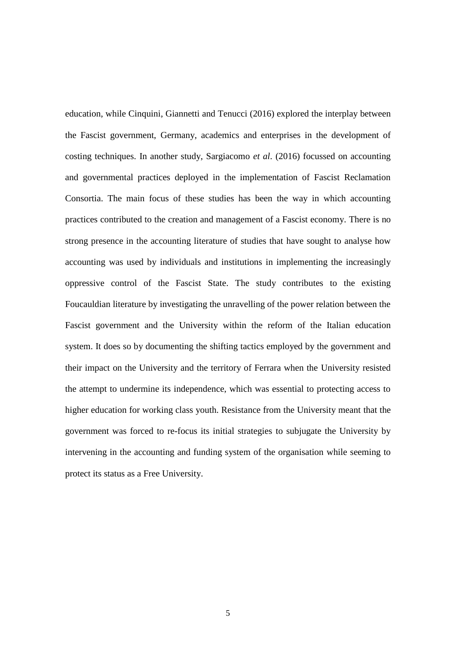education, while Cinquini, Giannetti and Tenucci (2016) explored the interplay between the Fascist government, Germany, academics and enterprises in the development of costing techniques. In another study, Sargiacomo *et al*. (2016) focussed on accounting and governmental practices deployed in the implementation of Fascist Reclamation Consortia. The main focus of these studies has been the way in which accounting practices contributed to the creation and management of a Fascist economy. There is no strong presence in the accounting literature of studies that have sought to analyse how accounting was used by individuals and institutions in implementing the increasingly oppressive control of the Fascist State. The study contributes to the existing Foucauldian literature by investigating the unravelling of the power relation between the Fascist government and the University within the reform of the Italian education system. It does so by documenting the shifting tactics employed by the government and their impact on the University and the territory of Ferrara when the University resisted the attempt to undermine its independence, which was essential to protecting access to higher education for working class youth. Resistance from the University meant that the government was forced to re-focus its initial strategies to subjugate the University by intervening in the accounting and funding system of the organisation while seeming to protect its status as a Free University.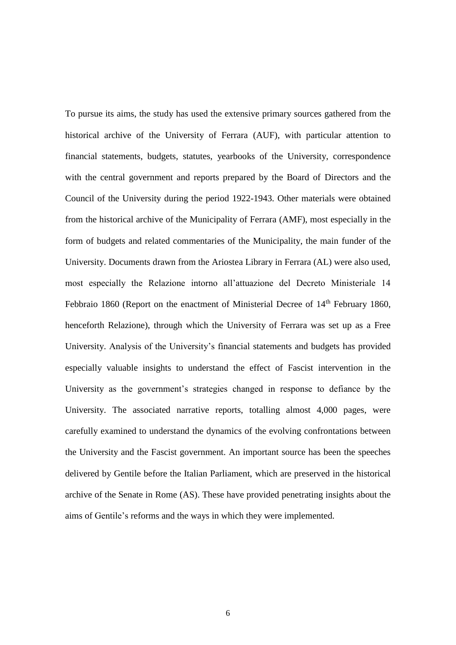To pursue its aims, the study has used the extensive primary sources gathered from the historical archive of the University of Ferrara (AUF), with particular attention to financial statements, budgets, statutes, yearbooks of the University, correspondence with the central government and reports prepared by the Board of Directors and the Council of the University during the period 1922-1943. Other materials were obtained from the historical archive of the Municipality of Ferrara (AMF), most especially in the form of budgets and related commentaries of the Municipality, the main funder of the University. Documents drawn from the Ariostea Library in Ferrara (AL) were also used, most especially the Relazione intorno all'attuazione del Decreto Ministeriale 14 Febbraio 1860 (Report on the enactment of Ministerial Decree of 14<sup>th</sup> February 1860, henceforth Relazione), through which the University of Ferrara was set up as a Free University. Analysis of the University's financial statements and budgets has provided especially valuable insights to understand the effect of Fascist intervention in the University as the government's strategies changed in response to defiance by the University. The associated narrative reports, totalling almost 4,000 pages, were carefully examined to understand the dynamics of the evolving confrontations between the University and the Fascist government. An important source has been the speeches delivered by Gentile before the Italian Parliament, which are preserved in the historical archive of the Senate in Rome (AS). These have provided penetrating insights about the aims of Gentile's reforms and the ways in which they were implemented.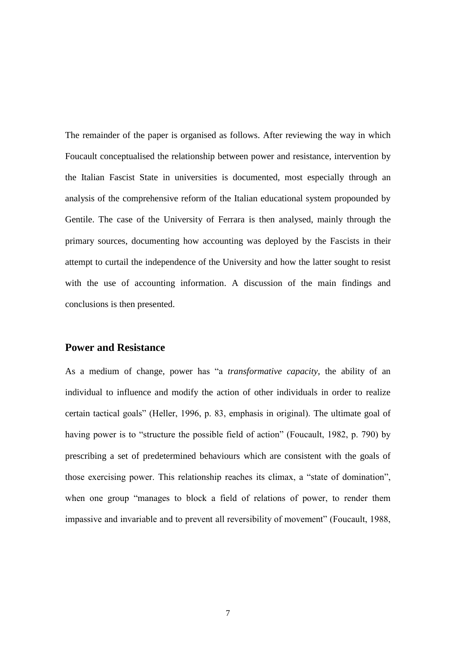The remainder of the paper is organised as follows. After reviewing the way in which Foucault conceptualised the relationship between power and resistance, intervention by the Italian Fascist State in universities is documented, most especially through an analysis of the comprehensive reform of the Italian educational system propounded by Gentile. The case of the University of Ferrara is then analysed, mainly through the primary sources, documenting how accounting was deployed by the Fascists in their attempt to curtail the independence of the University and how the latter sought to resist with the use of accounting information. A discussion of the main findings and conclusions is then presented.

# **Power and Resistance**

As a medium of change, power has "a *transformative capacity*, the ability of an individual to influence and modify the action of other individuals in order to realize certain tactical goals" (Heller, 1996, p. 83, emphasis in original). The ultimate goal of having power is to "structure the possible field of action" (Foucault, 1982, p. 790) by prescribing a set of predetermined behaviours which are consistent with the goals of those exercising power. This relationship reaches its climax, a "state of domination", when one group "manages to block a field of relations of power, to render them impassive and invariable and to prevent all reversibility of movement" (Foucault, 1988,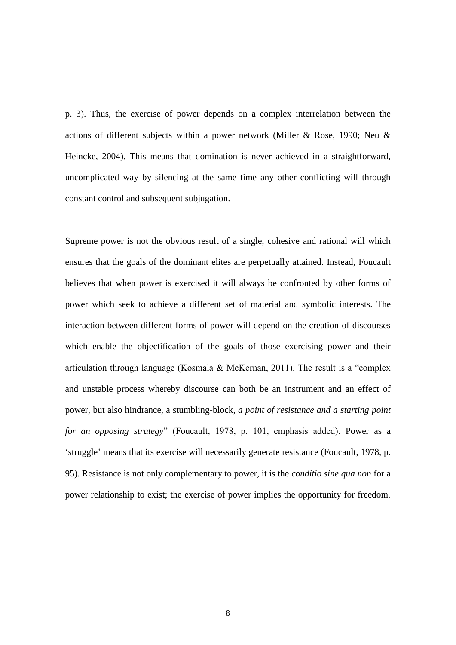p. 3). Thus, the exercise of power depends on a complex interrelation between the actions of different subjects within a power network (Miller & Rose, 1990; Neu & Heincke, 2004). This means that domination is never achieved in a straightforward, uncomplicated way by silencing at the same time any other conflicting will through constant control and subsequent subjugation.

Supreme power is not the obvious result of a single, cohesive and rational will which ensures that the goals of the dominant elites are perpetually attained. Instead, Foucault believes that when power is exercised it will always be confronted by other forms of power which seek to achieve a different set of material and symbolic interests. The interaction between different forms of power will depend on the creation of discourses which enable the objectification of the goals of those exercising power and their articulation through language (Kosmala & McKernan, 2011). The result is a "complex and unstable process whereby discourse can both be an instrument and an effect of power, but also hindrance, a stumbling-block, *a point of resistance and a starting point for an opposing strategy*" (Foucault, 1978, p. 101, emphasis added). Power as a 'struggle' means that its exercise will necessarily generate resistance (Foucault, 1978, p. 95). Resistance is not only complementary to power, it is the *conditio sine qua non* for a power relationship to exist; the exercise of power implies the opportunity for freedom.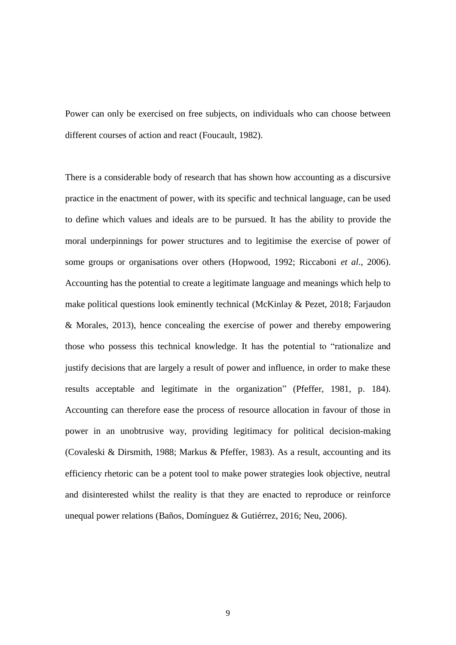Power can only be exercised on free subjects, on individuals who can choose between different courses of action and react (Foucault, 1982).

There is a considerable body of research that has shown how accounting as a discursive practice in the enactment of power, with its specific and technical language, can be used to define which values and ideals are to be pursued. It has the ability to provide the moral underpinnings for power structures and to legitimise the exercise of power of some groups or organisations over others (Hopwood, 1992; Riccaboni *et al*., 2006). Accounting has the potential to create a legitimate language and meanings which help to make political questions look eminently technical (McKinlay & Pezet, 2018; Farjaudon & Morales, 2013), hence concealing the exercise of power and thereby empowering those who possess this technical knowledge. It has the potential to "rationalize and justify decisions that are largely a result of power and influence, in order to make these results acceptable and legitimate in the organization" (Pfeffer, 1981, p. 184). Accounting can therefore ease the process of resource allocation in favour of those in power in an unobtrusive way, providing legitimacy for political decision-making (Covaleski & Dirsmith, 1988; Markus & Pfeffer, 1983). As a result, accounting and its efficiency rhetoric can be a potent tool to make power strategies look objective, neutral and disinterested whilst the reality is that they are enacted to reproduce or reinforce unequal power relations (Baños, Domínguez & Gutiérrez, 2016; Neu, 2006).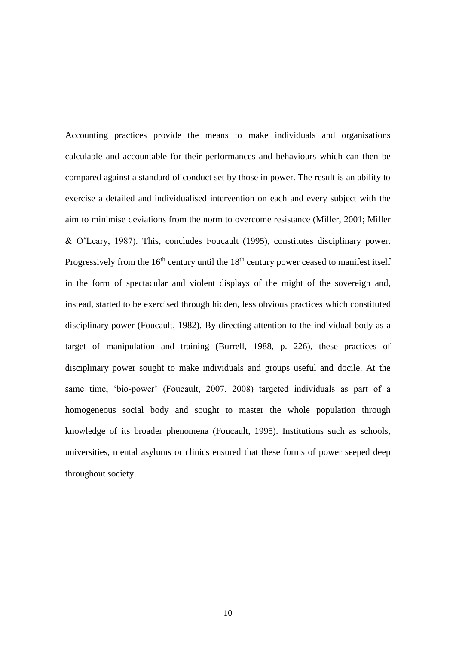Accounting practices provide the means to make individuals and organisations calculable and accountable for their performances and behaviours which can then be compared against a standard of conduct set by those in power. The result is an ability to exercise a detailed and individualised intervention on each and every subject with the aim to minimise deviations from the norm to overcome resistance (Miller, 2001; Miller & O'Leary, 1987). This, concludes Foucault (1995), constitutes disciplinary power. Progressively from the  $16<sup>th</sup>$  century until the  $18<sup>th</sup>$  century power ceased to manifest itself in the form of spectacular and violent displays of the might of the sovereign and, instead, started to be exercised through hidden, less obvious practices which constituted disciplinary power (Foucault, 1982). By directing attention to the individual body as a target of manipulation and training (Burrell, 1988, p. 226), these practices of disciplinary power sought to make individuals and groups useful and docile. At the same time, 'bio-power' (Foucault, 2007, 2008) targeted individuals as part of a homogeneous social body and sought to master the whole population through knowledge of its broader phenomena (Foucault, 1995). Institutions such as schools, universities, mental asylums or clinics ensured that these forms of power seeped deep throughout society.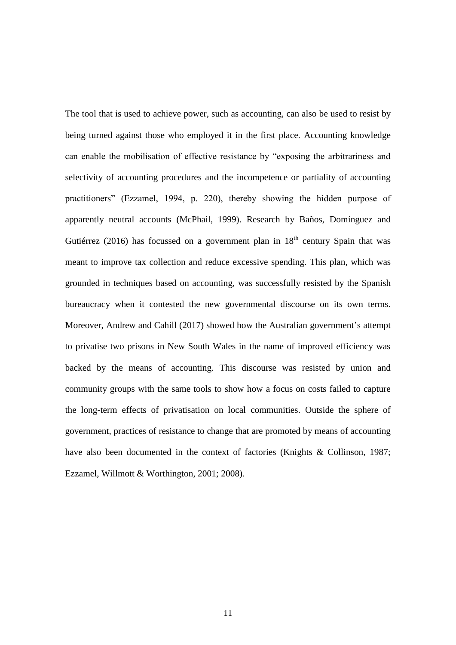The tool that is used to achieve power, such as accounting, can also be used to resist by being turned against those who employed it in the first place. Accounting knowledge can enable the mobilisation of effective resistance by "exposing the arbitrariness and selectivity of accounting procedures and the incompetence or partiality of accounting practitioners" (Ezzamel, 1994, p. 220), thereby showing the hidden purpose of apparently neutral accounts (McPhail, 1999). Research by Baños, Domínguez and Gutiérrez (2016) has focussed on a government plan in  $18<sup>th</sup>$  century Spain that was meant to improve tax collection and reduce excessive spending. This plan, which was grounded in techniques based on accounting, was successfully resisted by the Spanish bureaucracy when it contested the new governmental discourse on its own terms. Moreover, Andrew and Cahill (2017) showed how the Australian government's attempt to privatise two prisons in New South Wales in the name of improved efficiency was backed by the means of accounting. This discourse was resisted by union and community groups with the same tools to show how a focus on costs failed to capture the long-term effects of privatisation on local communities. Outside the sphere of government, practices of resistance to change that are promoted by means of accounting have also been documented in the context of factories (Knights & Collinson, 1987; Ezzamel, Willmott & Worthington, 2001; 2008).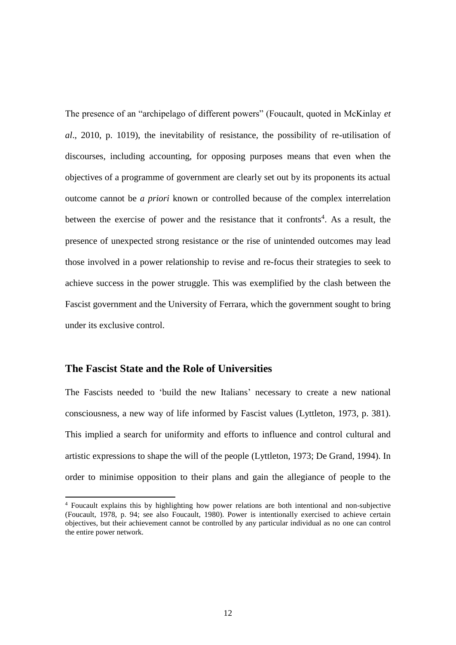The presence of an "archipelago of different powers" (Foucault, quoted in McKinlay *et al*., 2010, p. 1019), the inevitability of resistance, the possibility of re-utilisation of discourses, including accounting, for opposing purposes means that even when the objectives of a programme of government are clearly set out by its proponents its actual outcome cannot be *a priori* known or controlled because of the complex interrelation between the exercise of power and the resistance that it confronts<sup>4</sup>. As a result, the presence of unexpected strong resistance or the rise of unintended outcomes may lead those involved in a power relationship to revise and re-focus their strategies to seek to achieve success in the power struggle. This was exemplified by the clash between the Fascist government and the University of Ferrara, which the government sought to bring under its exclusive control.

# **The Fascist State and the Role of Universities**

**.** 

The Fascists needed to 'build the new Italians' necessary to create a new national consciousness, a new way of life informed by Fascist values (Lyttleton, 1973, p. 381). This implied a search for uniformity and efforts to influence and control cultural and artistic expressions to shape the will of the people (Lyttleton, 1973; De Grand, 1994). In order to minimise opposition to their plans and gain the allegiance of people to the

<sup>4</sup> Foucault explains this by highlighting how power relations are both intentional and non-subjective (Foucault, 1978, p. 94; see also Foucault, 1980). Power is intentionally exercised to achieve certain objectives, but their achievement cannot be controlled by any particular individual as no one can control the entire power network.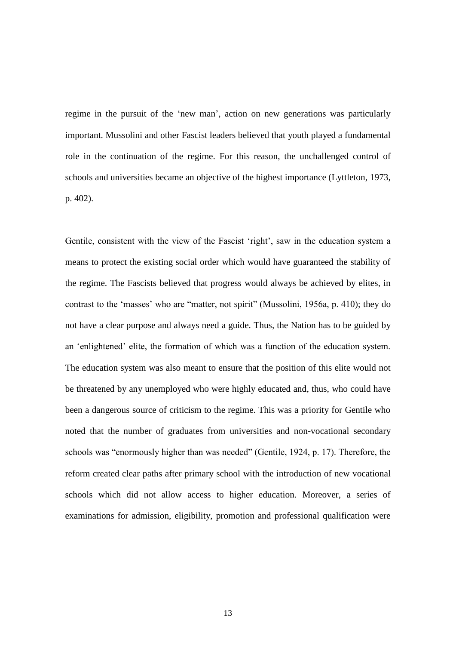regime in the pursuit of the 'new man', action on new generations was particularly important. Mussolini and other Fascist leaders believed that youth played a fundamental role in the continuation of the regime. For this reason, the unchallenged control of schools and universities became an objective of the highest importance (Lyttleton, 1973, p. 402).

Gentile, consistent with the view of the Fascist 'right', saw in the education system a means to protect the existing social order which would have guaranteed the stability of the regime. The Fascists believed that progress would always be achieved by elites, in contrast to the 'masses' who are "matter, not spirit" (Mussolini, 1956a, p. 410); they do not have a clear purpose and always need a guide. Thus, the Nation has to be guided by an 'enlightened' elite, the formation of which was a function of the education system. The education system was also meant to ensure that the position of this elite would not be threatened by any unemployed who were highly educated and, thus, who could have been a dangerous source of criticism to the regime. This was a priority for Gentile who noted that the number of graduates from universities and non-vocational secondary schools was "enormously higher than was needed" (Gentile, 1924, p. 17). Therefore, the reform created clear paths after primary school with the introduction of new vocational schools which did not allow access to higher education. Moreover, a series of examinations for admission, eligibility, promotion and professional qualification were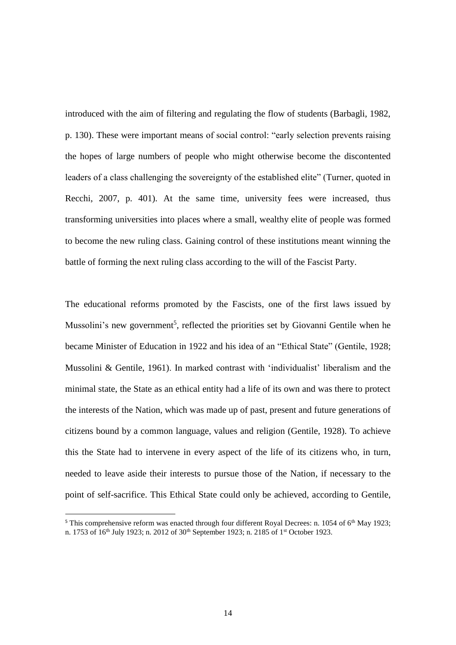introduced with the aim of filtering and regulating the flow of students (Barbagli, 1982, p. 130). These were important means of social control: "early selection prevents raising the hopes of large numbers of people who might otherwise become the discontented leaders of a class challenging the sovereignty of the established elite" (Turner, quoted in Recchi, 2007, p. 401). At the same time, university fees were increased, thus transforming universities into places where a small, wealthy elite of people was formed to become the new ruling class. Gaining control of these institutions meant winning the battle of forming the next ruling class according to the will of the Fascist Party.

The educational reforms promoted by the Fascists, one of the first laws issued by Mussolini's new government<sup>5</sup>, reflected the priorities set by Giovanni Gentile when he became Minister of Education in 1922 and his idea of an "Ethical State" (Gentile, 1928; Mussolini & Gentile, 1961). In marked contrast with 'individualist' liberalism and the minimal state, the State as an ethical entity had a life of its own and was there to protect the interests of the Nation, which was made up of past, present and future generations of citizens bound by a common language, values and religion (Gentile, 1928). To achieve this the State had to intervene in every aspect of the life of its citizens who, in turn, needed to leave aside their interests to pursue those of the Nation, if necessary to the point of self-sacrifice. This Ethical State could only be achieved, according to Gentile,

<sup>&</sup>lt;sup>5</sup> This comprehensive reform was enacted through four different Royal Decrees: n. 1054 of 6<sup>th</sup> May 1923; n. 1753 of 16<sup>th</sup> July 1923; n. 2012 of 30<sup>th</sup> September 1923; n. 2185 of 1<sup>st</sup> October 1923.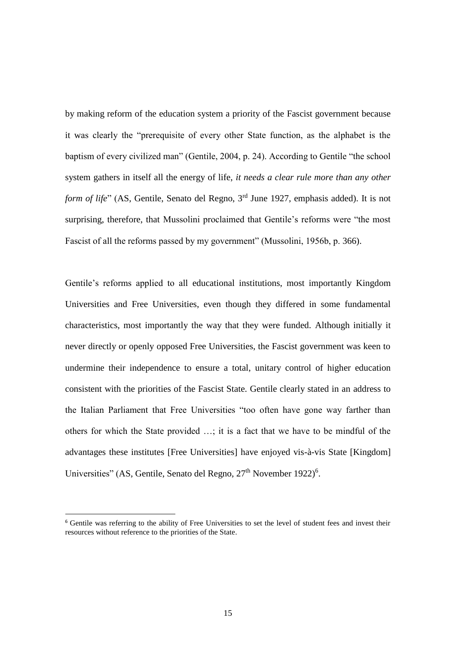by making reform of the education system a priority of the Fascist government because it was clearly the "prerequisite of every other State function, as the alphabet is the baptism of every civilized man" (Gentile, 2004, p. 24). According to Gentile "the school system gathers in itself all the energy of life, *it needs a clear rule more than any other form of life*" (AS, Gentile, Senato del Regno, 3<sup>rd</sup> June 1927, emphasis added). It is not surprising, therefore, that Mussolini proclaimed that Gentile's reforms were "the most Fascist of all the reforms passed by my government" (Mussolini, 1956b, p. 366).

Gentile's reforms applied to all educational institutions, most importantly Kingdom Universities and Free Universities, even though they differed in some fundamental characteristics, most importantly the way that they were funded. Although initially it never directly or openly opposed Free Universities, the Fascist government was keen to undermine their independence to ensure a total, unitary control of higher education consistent with the priorities of the Fascist State. Gentile clearly stated in an address to the Italian Parliament that Free Universities "too often have gone way farther than others for which the State provided …; it is a fact that we have to be mindful of the advantages these institutes [Free Universities] have enjoyed vis-à-vis State [Kingdom] Universities" (AS, Gentile, Senato del Regno, 27<sup>th</sup> November 1922)<sup>6</sup>.

<sup>6</sup> Gentile was referring to the ability of Free Universities to set the level of student fees and invest their resources without reference to the priorities of the State.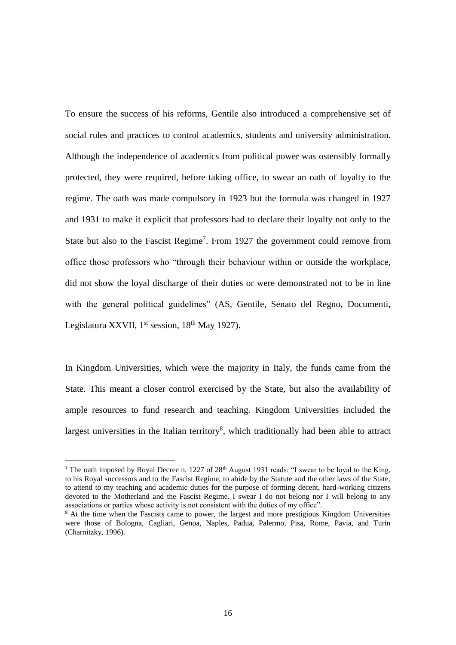To ensure the success of his reforms, Gentile also introduced a comprehensive set of social rules and practices to control academics, students and university administration. Although the independence of academics from political power was ostensibly formally protected, they were required, before taking office, to swear an oath of loyalty to the regime. The oath was made compulsory in 1923 but the formula was changed in 1927 and 1931 to make it explicit that professors had to declare their loyalty not only to the State but also to the Fascist Regime<sup>7</sup>. From 1927 the government could remove from office those professors who "through their behaviour within or outside the workplace, did not show the loyal discharge of their duties or were demonstrated not to be in line with the general political guidelines" (AS, Gentile, Senato del Regno, Documenti, Legislatura XXVII,  $1<sup>st</sup>$  session,  $18<sup>th</sup>$  May 1927).

In Kingdom Universities, which were the majority in Italy, the funds came from the State. This meant a closer control exercised by the State, but also the availability of ample resources to fund research and teaching. Kingdom Universities included the largest universities in the Italian territory $<sup>8</sup>$ , which traditionally had been able to attract</sup>

<sup>&</sup>lt;sup>7</sup> The oath imposed by Royal Decree n. 1227 of 28<sup>th</sup> August 1931 reads: "I swear to be loyal to the King, to his Royal successors and to the Fascist Regime, to abide by the Statute and the other laws of the State, to attend to my teaching and academic duties for the purpose of forming decent, hard-working citizens devoted to the Motherland and the Fascist Regime. I swear I do not belong nor I will belong to any associations or parties whose activity is not consistent with the duties of my office".

<sup>&</sup>lt;sup>8</sup> At the time when the Fascists came to power, the largest and more prestigious Kingdom Universities were those of Bologna, Cagliari, Genoa, Naples, Padua, Palermo, Pisa, Rome, Pavia, and Turin (Charnitzky, 1996).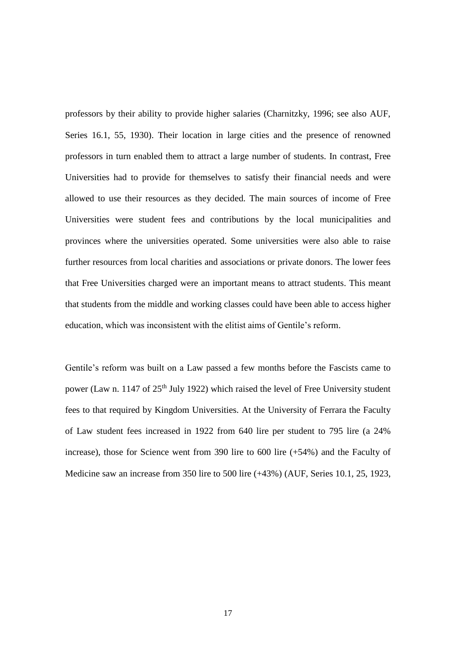professors by their ability to provide higher salaries (Charnitzky, 1996; see also AUF, Series 16.1, 55, 1930). Their location in large cities and the presence of renowned professors in turn enabled them to attract a large number of students. In contrast, Free Universities had to provide for themselves to satisfy their financial needs and were allowed to use their resources as they decided. The main sources of income of Free Universities were student fees and contributions by the local municipalities and provinces where the universities operated. Some universities were also able to raise further resources from local charities and associations or private donors. The lower fees that Free Universities charged were an important means to attract students. This meant that students from the middle and working classes could have been able to access higher education, which was inconsistent with the elitist aims of Gentile's reform.

Gentile's reform was built on a Law passed a few months before the Fascists came to power (Law n. 1147 of  $25<sup>th</sup>$  July 1922) which raised the level of Free University student fees to that required by Kingdom Universities. At the University of Ferrara the Faculty of Law student fees increased in 1922 from 640 lire per student to 795 lire (a 24% increase), those for Science went from 390 lire to 600 lire (+54%) and the Faculty of Medicine saw an increase from 350 lire to 500 lire (+43%) (AUF, Series 10.1, 25, 1923,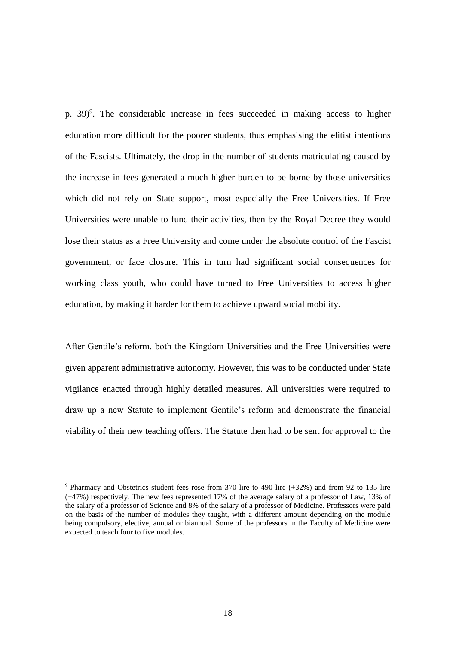p. 39)<sup>9</sup>. The considerable increase in fees succeeded in making access to higher education more difficult for the poorer students, thus emphasising the elitist intentions of the Fascists. Ultimately, the drop in the number of students matriculating caused by the increase in fees generated a much higher burden to be borne by those universities which did not rely on State support, most especially the Free Universities. If Free Universities were unable to fund their activities, then by the Royal Decree they would lose their status as a Free University and come under the absolute control of the Fascist government, or face closure. This in turn had significant social consequences for working class youth, who could have turned to Free Universities to access higher education, by making it harder for them to achieve upward social mobility.

After Gentile's reform, both the Kingdom Universities and the Free Universities were given apparent administrative autonomy. However, this was to be conducted under State vigilance enacted through highly detailed measures. All universities were required to draw up a new Statute to implement Gentile's reform and demonstrate the financial viability of their new teaching offers. The Statute then had to be sent for approval to the

**.** 

<sup>9</sup> Pharmacy and Obstetrics student fees rose from 370 lire to 490 lire (+32%) and from 92 to 135 lire (+47%) respectively. The new fees represented 17% of the average salary of a professor of Law, 13% of the salary of a professor of Science and 8% of the salary of a professor of Medicine. Professors were paid on the basis of the number of modules they taught, with a different amount depending on the module being compulsory, elective, annual or biannual. Some of the professors in the Faculty of Medicine were expected to teach four to five modules.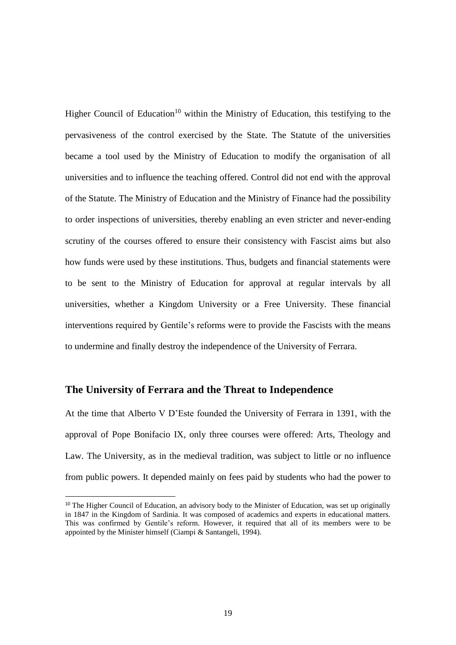Higher Council of Education<sup>10</sup> within the Ministry of Education, this testifying to the pervasiveness of the control exercised by the State. The Statute of the universities became a tool used by the Ministry of Education to modify the organisation of all universities and to influence the teaching offered. Control did not end with the approval of the Statute. The Ministry of Education and the Ministry of Finance had the possibility to order inspections of universities, thereby enabling an even stricter and never-ending scrutiny of the courses offered to ensure their consistency with Fascist aims but also how funds were used by these institutions. Thus, budgets and financial statements were to be sent to the Ministry of Education for approval at regular intervals by all universities, whether a Kingdom University or a Free University. These financial interventions required by Gentile's reforms were to provide the Fascists with the means to undermine and finally destroy the independence of the University of Ferrara.

# **The University of Ferrara and the Threat to Independence**

**.** 

At the time that Alberto V D'Este founded the University of Ferrara in 1391, with the approval of Pope Bonifacio IX, only three courses were offered: Arts, Theology and Law. The University, as in the medieval tradition, was subject to little or no influence from public powers. It depended mainly on fees paid by students who had the power to

<sup>&</sup>lt;sup>10</sup> The Higher Council of Education, an advisory body to the Minister of Education, was set up originally in 1847 in the Kingdom of Sardinia. It was composed of academics and experts in educational matters. This was confirmed by Gentile's reform. However, it required that all of its members were to be appointed by the Minister himself (Ciampi & Santangeli, 1994).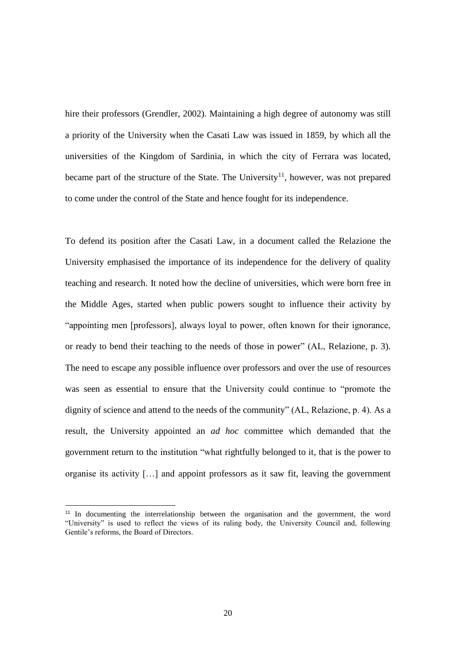hire their professors (Grendler, 2002). Maintaining a high degree of autonomy was still a priority of the University when the Casati Law was issued in 1859, by which all the universities of the Kingdom of Sardinia, in which the city of Ferrara was located, became part of the structure of the State. The University<sup>11</sup>, however, was not prepared to come under the control of the State and hence fought for its independence.

To defend its position after the Casati Law, in a document called the Relazione the University emphasised the importance of its independence for the delivery of quality teaching and research. It noted how the decline of universities, which were born free in the Middle Ages, started when public powers sought to influence their activity by "appointing men [professors], always loyal to power, often known for their ignorance, or ready to bend their teaching to the needs of those in power" (AL, Relazione, p. 3). The need to escape any possible influence over professors and over the use of resources was seen as essential to ensure that the University could continue to "promote the dignity of science and attend to the needs of the community" (AL, Relazione, p. 4). As a result, the University appointed an *ad hoc* committee which demanded that the government return to the institution "what rightfully belonged to it, that is the power to organise its activity […] and appoint professors as it saw fit, leaving the government

**.** 

<sup>&</sup>lt;sup>11</sup> In documenting the interrelationship between the organisation and the government, the word "University" is used to reflect the views of its ruling body, the University Council and, following Gentile's reforms, the Board of Directors.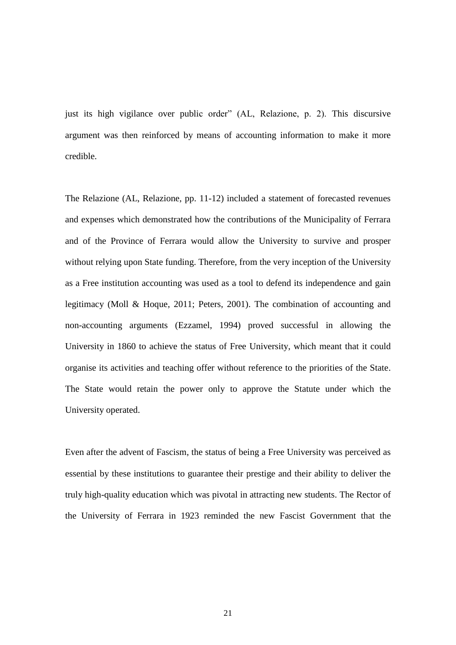just its high vigilance over public order" (AL, Relazione, p. 2). This discursive argument was then reinforced by means of accounting information to make it more credible.

The Relazione (AL, Relazione, pp. 11-12) included a statement of forecasted revenues and expenses which demonstrated how the contributions of the Municipality of Ferrara and of the Province of Ferrara would allow the University to survive and prosper without relying upon State funding. Therefore, from the very inception of the University as a Free institution accounting was used as a tool to defend its independence and gain legitimacy (Moll & Hoque, 2011; Peters, 2001). The combination of accounting and non-accounting arguments (Ezzamel, 1994) proved successful in allowing the University in 1860 to achieve the status of Free University, which meant that it could organise its activities and teaching offer without reference to the priorities of the State. The State would retain the power only to approve the Statute under which the University operated.

Even after the advent of Fascism, the status of being a Free University was perceived as essential by these institutions to guarantee their prestige and their ability to deliver the truly high-quality education which was pivotal in attracting new students. The Rector of the University of Ferrara in 1923 reminded the new Fascist Government that the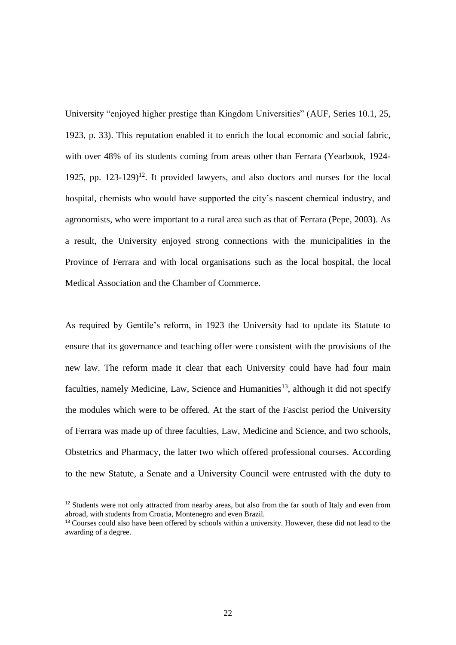University "enjoyed higher prestige than Kingdom Universities" (AUF, Series 10.1, 25, 1923, p. 33). This reputation enabled it to enrich the local economic and social fabric, with over 48% of its students coming from areas other than Ferrara (Yearbook, 1924-1925, pp.  $123-129$ <sup>12</sup>. It provided lawyers, and also doctors and nurses for the local hospital, chemists who would have supported the city's nascent chemical industry, and agronomists, who were important to a rural area such as that of Ferrara (Pepe, 2003). As a result, the University enjoyed strong connections with the municipalities in the Province of Ferrara and with local organisations such as the local hospital, the local Medical Association and the Chamber of Commerce.

As required by Gentile's reform, in 1923 the University had to update its Statute to ensure that its governance and teaching offer were consistent with the provisions of the new law. The reform made it clear that each University could have had four main faculties, namely Medicine, Law, Science and Humanities<sup>13</sup>, although it did not specify the modules which were to be offered. At the start of the Fascist period the University of Ferrara was made up of three faculties, Law, Medicine and Science, and two schools, Obstetrics and Pharmacy, the latter two which offered professional courses. According to the new Statute, a Senate and a University Council were entrusted with the duty to

**.** 

<sup>&</sup>lt;sup>12</sup> Students were not only attracted from nearby areas, but also from the far south of Italy and even from abroad, with students from Croatia, Montenegro and even Brazil.

<sup>&</sup>lt;sup>13</sup> Courses could also have been offered by schools within a university. However, these did not lead to the awarding of a degree.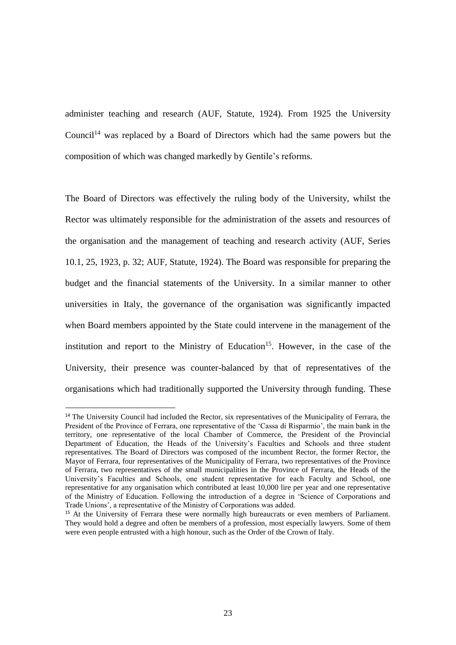administer teaching and research (AUF, Statute, 1924). From 1925 the University Council<sup>14</sup> was replaced by a Board of Directors which had the same powers but the composition of which was changed markedly by Gentile's reforms.

The Board of Directors was effectively the ruling body of the University, whilst the Rector was ultimately responsible for the administration of the assets and resources of the organisation and the management of teaching and research activity (AUF, Series 10.1, 25, 1923, p. 32; AUF, Statute, 1924). The Board was responsible for preparing the budget and the financial statements of the University. In a similar manner to other universities in Italy, the governance of the organisation was significantly impacted when Board members appointed by the State could intervene in the management of the institution and report to the Ministry of Education<sup>15</sup>. However, in the case of the University, their presence was counter-balanced by that of representatives of the organisations which had traditionally supported the University through funding. These

<sup>&</sup>lt;sup>14</sup> The University Council had included the Rector, six representatives of the Municipality of Ferrara, the President of the Province of Ferrara, one representative of the 'Cassa di Risparmio', the main bank in the territory, one representative of the local Chamber of Commerce, the President of the Provincial Department of Education, the Heads of the University's Faculties and Schools and three student representatives. The Board of Directors was composed of the incumbent Rector, the former Rector, the Mayor of Ferrara, four representatives of the Municipality of Ferrara, two representatives of the Province of Ferrara, two representatives of the small municipalities in the Province of Ferrara, the Heads of the University's Faculties and Schools, one student representative for each Faculty and School, one representative for any organisation which contributed at least 10,000 lire per year and one representative of the Ministry of Education. Following the introduction of a degree in 'Science of Corporations and Trade Unions', a representative of the Ministry of Corporations was added.

<sup>&</sup>lt;sup>15</sup> At the University of Ferrara these were normally high bureaucrats or even members of Parliament. They would hold a degree and often be members of a profession, most especially lawyers. Some of them were even people entrusted with a high honour, such as the Order of the Crown of Italy.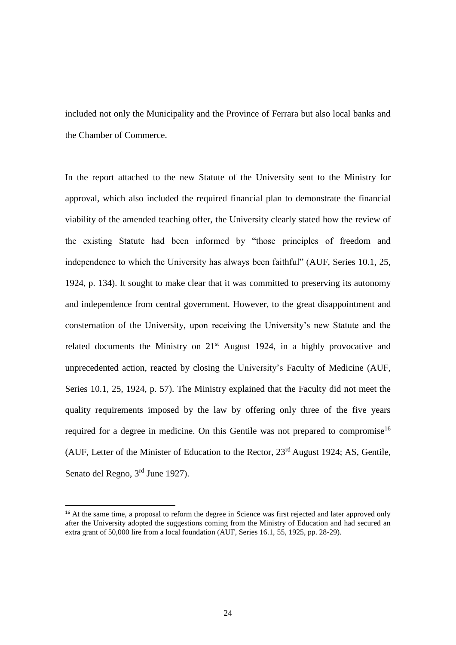included not only the Municipality and the Province of Ferrara but also local banks and the Chamber of Commerce.

In the report attached to the new Statute of the University sent to the Ministry for approval, which also included the required financial plan to demonstrate the financial viability of the amended teaching offer, the University clearly stated how the review of the existing Statute had been informed by "those principles of freedom and independence to which the University has always been faithful" (AUF, Series 10.1, 25, 1924, p. 134). It sought to make clear that it was committed to preserving its autonomy and independence from central government. However, to the great disappointment and consternation of the University, upon receiving the University's new Statute and the related documents the Ministry on  $21<sup>st</sup>$  August 1924, in a highly provocative and unprecedented action, reacted by closing the University's Faculty of Medicine (AUF, Series 10.1, 25, 1924, p. 57). The Ministry explained that the Faculty did not meet the quality requirements imposed by the law by offering only three of the five years required for a degree in medicine. On this Gentile was not prepared to compromise<sup>16</sup> (AUF, Letter of the Minister of Education to the Rector,  $23<sup>rd</sup>$  August 1924; AS, Gentile, Senato del Regno, 3<sup>rd</sup> June 1927).

**.** 

<sup>&</sup>lt;sup>16</sup> At the same time, a proposal to reform the degree in Science was first rejected and later approved only after the University adopted the suggestions coming from the Ministry of Education and had secured an extra grant of 50,000 lire from a local foundation (AUF, Series 16.1, 55, 1925, pp. 28-29).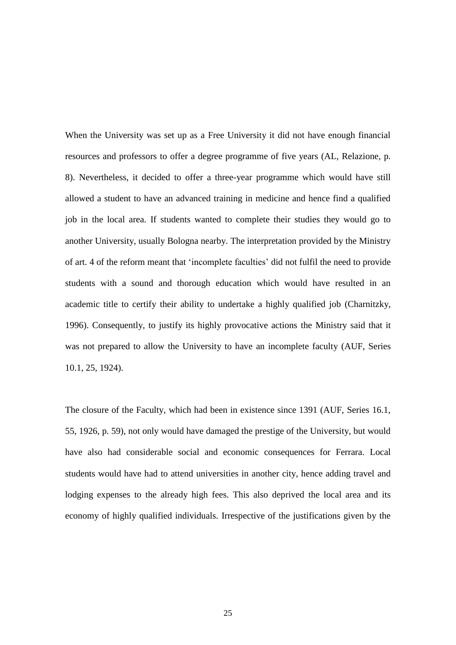When the University was set up as a Free University it did not have enough financial resources and professors to offer a degree programme of five years (AL, Relazione, p. 8). Nevertheless, it decided to offer a three-year programme which would have still allowed a student to have an advanced training in medicine and hence find a qualified job in the local area. If students wanted to complete their studies they would go to another University, usually Bologna nearby. The interpretation provided by the Ministry of art. 4 of the reform meant that 'incomplete faculties' did not fulfil the need to provide students with a sound and thorough education which would have resulted in an academic title to certify their ability to undertake a highly qualified job (Charnitzky, 1996). Consequently, to justify its highly provocative actions the Ministry said that it was not prepared to allow the University to have an incomplete faculty (AUF, Series 10.1, 25, 1924).

The closure of the Faculty, which had been in existence since 1391 (AUF, Series 16.1, 55, 1926, p. 59), not only would have damaged the prestige of the University, but would have also had considerable social and economic consequences for Ferrara. Local students would have had to attend universities in another city, hence adding travel and lodging expenses to the already high fees. This also deprived the local area and its economy of highly qualified individuals. Irrespective of the justifications given by the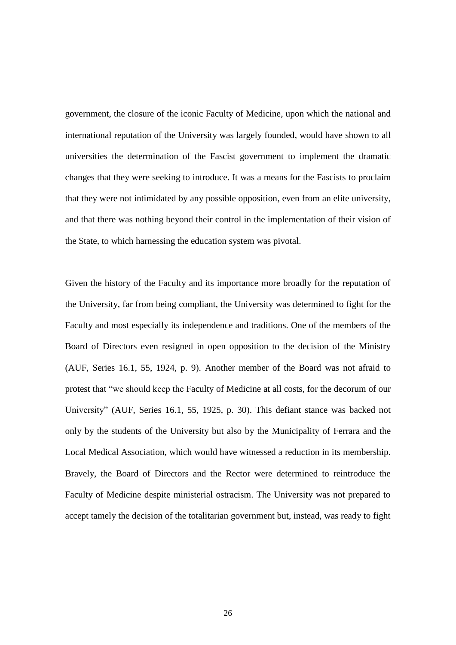government, the closure of the iconic Faculty of Medicine, upon which the national and international reputation of the University was largely founded, would have shown to all universities the determination of the Fascist government to implement the dramatic changes that they were seeking to introduce. It was a means for the Fascists to proclaim that they were not intimidated by any possible opposition, even from an elite university, and that there was nothing beyond their control in the implementation of their vision of the State, to which harnessing the education system was pivotal.

Given the history of the Faculty and its importance more broadly for the reputation of the University, far from being compliant, the University was determined to fight for the Faculty and most especially its independence and traditions. One of the members of the Board of Directors even resigned in open opposition to the decision of the Ministry (AUF, Series 16.1, 55, 1924, p. 9). Another member of the Board was not afraid to protest that "we should keep the Faculty of Medicine at all costs, for the decorum of our University" (AUF, Series 16.1, 55, 1925, p. 30). This defiant stance was backed not only by the students of the University but also by the Municipality of Ferrara and the Local Medical Association, which would have witnessed a reduction in its membership. Bravely, the Board of Directors and the Rector were determined to reintroduce the Faculty of Medicine despite ministerial ostracism. The University was not prepared to accept tamely the decision of the totalitarian government but, instead, was ready to fight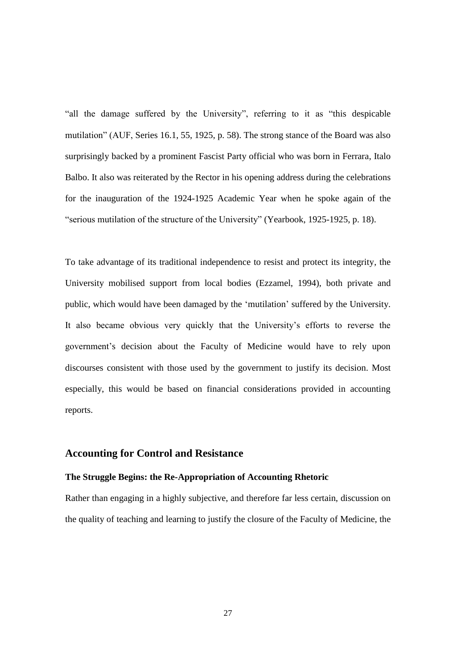"all the damage suffered by the University", referring to it as "this despicable mutilation" (AUF, Series 16.1, 55, 1925, p. 58). The strong stance of the Board was also surprisingly backed by a prominent Fascist Party official who was born in Ferrara, Italo Balbo. It also was reiterated by the Rector in his opening address during the celebrations for the inauguration of the 1924-1925 Academic Year when he spoke again of the "serious mutilation of the structure of the University" (Yearbook, 1925-1925, p. 18).

To take advantage of its traditional independence to resist and protect its integrity, the University mobilised support from local bodies (Ezzamel, 1994), both private and public, which would have been damaged by the 'mutilation' suffered by the University. It also became obvious very quickly that the University's efforts to reverse the government's decision about the Faculty of Medicine would have to rely upon discourses consistent with those used by the government to justify its decision. Most especially, this would be based on financial considerations provided in accounting reports.

# **Accounting for Control and Resistance**

#### **The Struggle Begins: the Re-Appropriation of Accounting Rhetoric**

Rather than engaging in a highly subjective, and therefore far less certain, discussion on the quality of teaching and learning to justify the closure of the Faculty of Medicine, the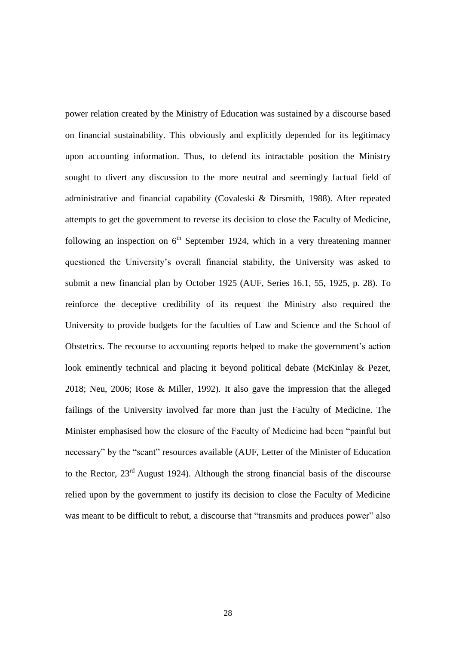power relation created by the Ministry of Education was sustained by a discourse based on financial sustainability. This obviously and explicitly depended for its legitimacy upon accounting information. Thus, to defend its intractable position the Ministry sought to divert any discussion to the more neutral and seemingly factual field of administrative and financial capability (Covaleski & Dirsmith, 1988). After repeated attempts to get the government to reverse its decision to close the Faculty of Medicine, following an inspection on  $6<sup>th</sup>$  September 1924, which in a very threatening manner questioned the University's overall financial stability, the University was asked to submit a new financial plan by October 1925 (AUF, Series 16.1, 55, 1925, p. 28). To reinforce the deceptive credibility of its request the Ministry also required the University to provide budgets for the faculties of Law and Science and the School of Obstetrics. The recourse to accounting reports helped to make the government's action look eminently technical and placing it beyond political debate (McKinlay & Pezet, 2018; Neu, 2006; Rose & Miller, 1992). It also gave the impression that the alleged failings of the University involved far more than just the Faculty of Medicine. The Minister emphasised how the closure of the Faculty of Medicine had been "painful but necessary" by the "scant" resources available (AUF, Letter of the Minister of Education to the Rector, 23rd August 1924). Although the strong financial basis of the discourse relied upon by the government to justify its decision to close the Faculty of Medicine was meant to be difficult to rebut, a discourse that "transmits and produces power" also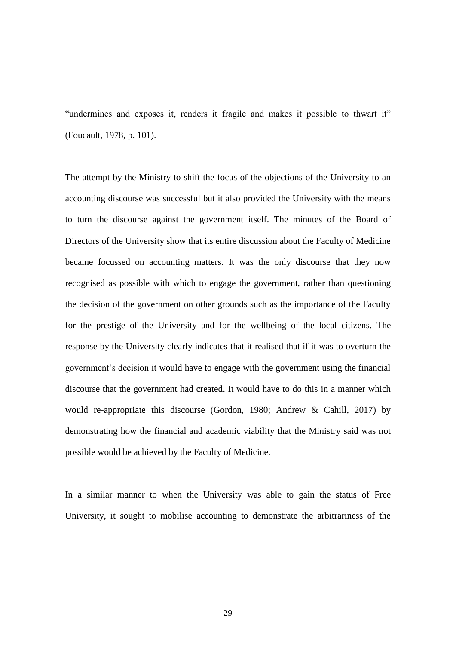"undermines and exposes it, renders it fragile and makes it possible to thwart it" (Foucault, 1978, p. 101).

The attempt by the Ministry to shift the focus of the objections of the University to an accounting discourse was successful but it also provided the University with the means to turn the discourse against the government itself. The minutes of the Board of Directors of the University show that its entire discussion about the Faculty of Medicine became focussed on accounting matters. It was the only discourse that they now recognised as possible with which to engage the government, rather than questioning the decision of the government on other grounds such as the importance of the Faculty for the prestige of the University and for the wellbeing of the local citizens. The response by the University clearly indicates that it realised that if it was to overturn the government's decision it would have to engage with the government using the financial discourse that the government had created. It would have to do this in a manner which would re-appropriate this discourse (Gordon, 1980; Andrew & Cahill, 2017) by demonstrating how the financial and academic viability that the Ministry said was not possible would be achieved by the Faculty of Medicine.

In a similar manner to when the University was able to gain the status of Free University, it sought to mobilise accounting to demonstrate the arbitrariness of the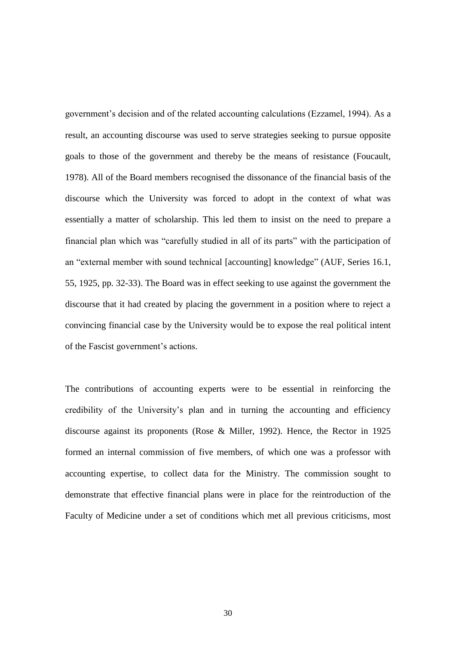government's decision and of the related accounting calculations (Ezzamel, 1994). As a result, an accounting discourse was used to serve strategies seeking to pursue opposite goals to those of the government and thereby be the means of resistance (Foucault, 1978). All of the Board members recognised the dissonance of the financial basis of the discourse which the University was forced to adopt in the context of what was essentially a matter of scholarship. This led them to insist on the need to prepare a financial plan which was "carefully studied in all of its parts" with the participation of an "external member with sound technical [accounting] knowledge" (AUF, Series 16.1, 55, 1925, pp. 32-33). The Board was in effect seeking to use against the government the discourse that it had created by placing the government in a position where to reject a convincing financial case by the University would be to expose the real political intent of the Fascist government's actions.

The contributions of accounting experts were to be essential in reinforcing the credibility of the University's plan and in turning the accounting and efficiency discourse against its proponents (Rose & Miller, 1992). Hence, the Rector in 1925 formed an internal commission of five members, of which one was a professor with accounting expertise, to collect data for the Ministry. The commission sought to demonstrate that effective financial plans were in place for the reintroduction of the Faculty of Medicine under a set of conditions which met all previous criticisms, most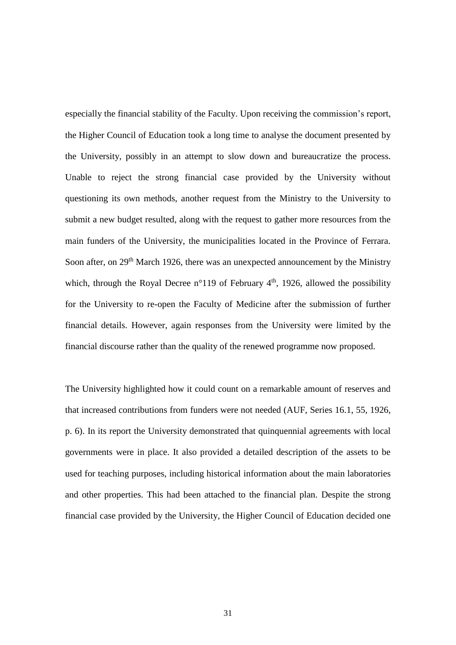especially the financial stability of the Faculty. Upon receiving the commission's report, the Higher Council of Education took a long time to analyse the document presented by the University, possibly in an attempt to slow down and bureaucratize the process. Unable to reject the strong financial case provided by the University without questioning its own methods, another request from the Ministry to the University to submit a new budget resulted, along with the request to gather more resources from the main funders of the University, the municipalities located in the Province of Ferrara. Soon after, on 29<sup>th</sup> March 1926, there was an unexpected announcement by the Ministry which, through the Royal Decree  $n^{\circ}119$  of February 4<sup>th</sup>, 1926, allowed the possibility for the University to re-open the Faculty of Medicine after the submission of further financial details. However, again responses from the University were limited by the financial discourse rather than the quality of the renewed programme now proposed.

The University highlighted how it could count on a remarkable amount of reserves and that increased contributions from funders were not needed (AUF, Series 16.1, 55, 1926, p. 6). In its report the University demonstrated that quinquennial agreements with local governments were in place. It also provided a detailed description of the assets to be used for teaching purposes, including historical information about the main laboratories and other properties. This had been attached to the financial plan. Despite the strong financial case provided by the University, the Higher Council of Education decided one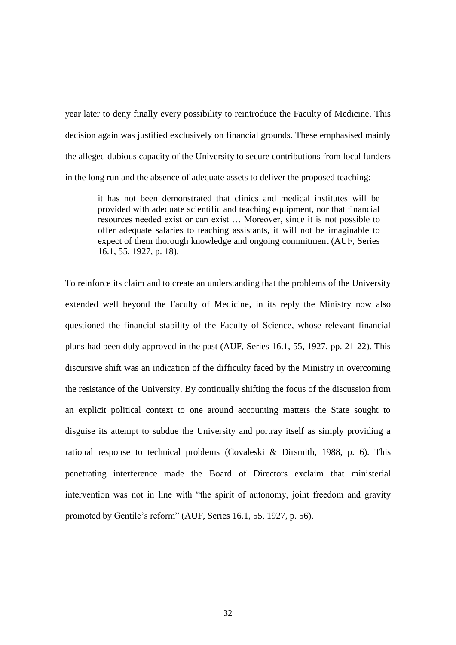year later to deny finally every possibility to reintroduce the Faculty of Medicine. This decision again was justified exclusively on financial grounds. These emphasised mainly the alleged dubious capacity of the University to secure contributions from local funders in the long run and the absence of adequate assets to deliver the proposed teaching:

it has not been demonstrated that clinics and medical institutes will be provided with adequate scientific and teaching equipment, nor that financial resources needed exist or can exist … Moreover, since it is not possible to offer adequate salaries to teaching assistants, it will not be imaginable to expect of them thorough knowledge and ongoing commitment (AUF, Series 16.1, 55, 1927, p. 18).

To reinforce its claim and to create an understanding that the problems of the University extended well beyond the Faculty of Medicine, in its reply the Ministry now also questioned the financial stability of the Faculty of Science, whose relevant financial plans had been duly approved in the past (AUF, Series 16.1, 55, 1927, pp. 21-22). This discursive shift was an indication of the difficulty faced by the Ministry in overcoming the resistance of the University. By continually shifting the focus of the discussion from an explicit political context to one around accounting matters the State sought to disguise its attempt to subdue the University and portray itself as simply providing a rational response to technical problems (Covaleski & Dirsmith, 1988, p. 6). This penetrating interference made the Board of Directors exclaim that ministerial intervention was not in line with "the spirit of autonomy, joint freedom and gravity promoted by Gentile's reform" (AUF, Series 16.1, 55, 1927, p. 56).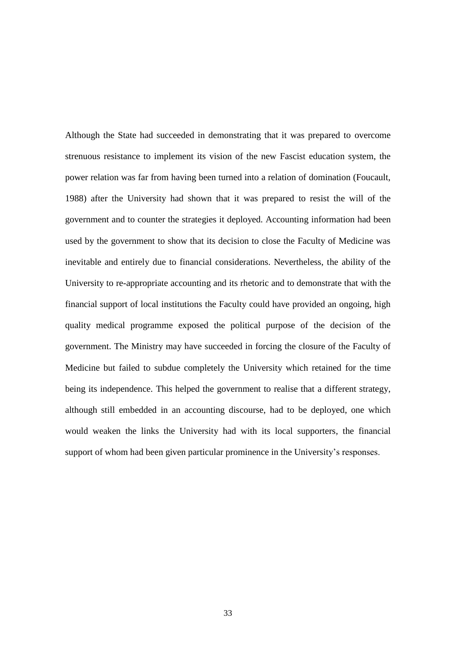Although the State had succeeded in demonstrating that it was prepared to overcome strenuous resistance to implement its vision of the new Fascist education system, the power relation was far from having been turned into a relation of domination (Foucault, 1988) after the University had shown that it was prepared to resist the will of the government and to counter the strategies it deployed. Accounting information had been used by the government to show that its decision to close the Faculty of Medicine was inevitable and entirely due to financial considerations. Nevertheless, the ability of the University to re-appropriate accounting and its rhetoric and to demonstrate that with the financial support of local institutions the Faculty could have provided an ongoing, high quality medical programme exposed the political purpose of the decision of the government. The Ministry may have succeeded in forcing the closure of the Faculty of Medicine but failed to subdue completely the University which retained for the time being its independence. This helped the government to realise that a different strategy, although still embedded in an accounting discourse, had to be deployed, one which would weaken the links the University had with its local supporters, the financial support of whom had been given particular prominence in the University's responses.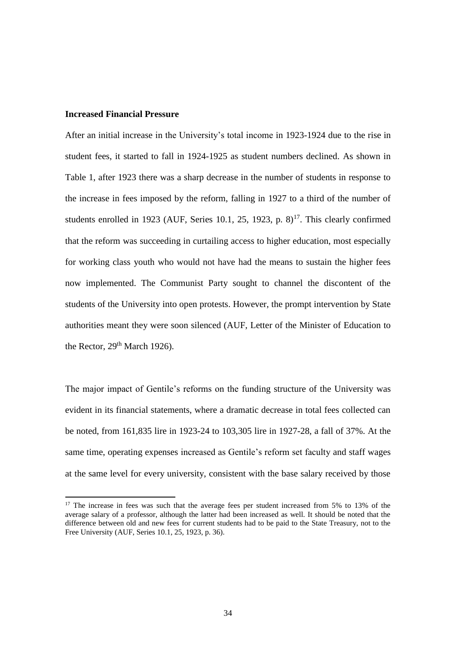### **Increased Financial Pressure**

**.** 

After an initial increase in the University's total income in 1923-1924 due to the rise in student fees, it started to fall in 1924-1925 as student numbers declined. As shown in Table 1, after 1923 there was a sharp decrease in the number of students in response to the increase in fees imposed by the reform, falling in 1927 to a third of the number of students enrolled in 1923 (AUF, Series 10.1, 25, 1923, p.  $8$ )<sup>17</sup>. This clearly confirmed that the reform was succeeding in curtailing access to higher education, most especially for working class youth who would not have had the means to sustain the higher fees now implemented. The Communist Party sought to channel the discontent of the students of the University into open protests. However, the prompt intervention by State authorities meant they were soon silenced (AUF, Letter of the Minister of Education to the Rector, 29<sup>th</sup> March 1926).

The major impact of Gentile's reforms on the funding structure of the University was evident in its financial statements, where a dramatic decrease in total fees collected can be noted, from 161,835 lire in 1923-24 to 103,305 lire in 1927-28, a fall of 37%. At the same time, operating expenses increased as Gentile's reform set faculty and staff wages at the same level for every university, consistent with the base salary received by those

<sup>&</sup>lt;sup>17</sup> The increase in fees was such that the average fees per student increased from 5% to 13% of the average salary of a professor, although the latter had been increased as well. It should be noted that the difference between old and new fees for current students had to be paid to the State Treasury, not to the Free University (AUF, Series 10.1, 25, 1923, p. 36).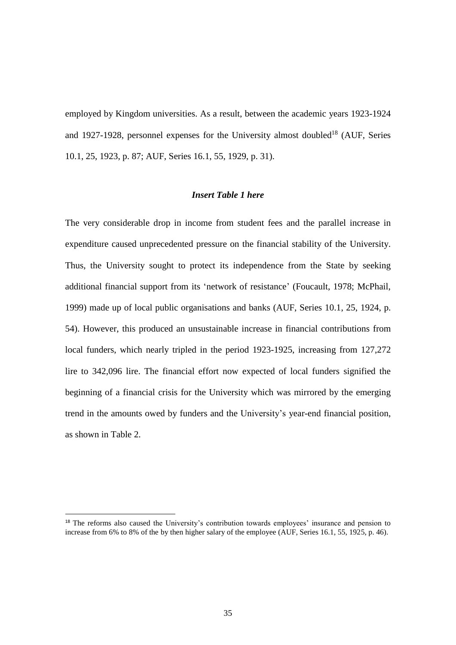employed by Kingdom universities. As a result, between the academic years 1923-1924 and 1927-1928, personnel expenses for the University almost doubled<sup>18</sup> (AUF, Series 10.1, 25, 1923, p. 87; AUF, Series 16.1, 55, 1929, p. 31).

### *Insert Table 1 here*

The very considerable drop in income from student fees and the parallel increase in expenditure caused unprecedented pressure on the financial stability of the University. Thus, the University sought to protect its independence from the State by seeking additional financial support from its 'network of resistance' (Foucault, 1978; McPhail, 1999) made up of local public organisations and banks (AUF, Series 10.1, 25, 1924, p. 54). However, this produced an unsustainable increase in financial contributions from local funders, which nearly tripled in the period 1923-1925, increasing from 127,272 lire to 342,096 lire. The financial effort now expected of local funders signified the beginning of a financial crisis for the University which was mirrored by the emerging trend in the amounts owed by funders and the University's year-end financial position, as shown in Table 2.

<sup>&</sup>lt;sup>18</sup> The reforms also caused the University's contribution towards employees' insurance and pension to increase from 6% to 8% of the by then higher salary of the employee (AUF, Series 16.1, 55, 1925, p. 46).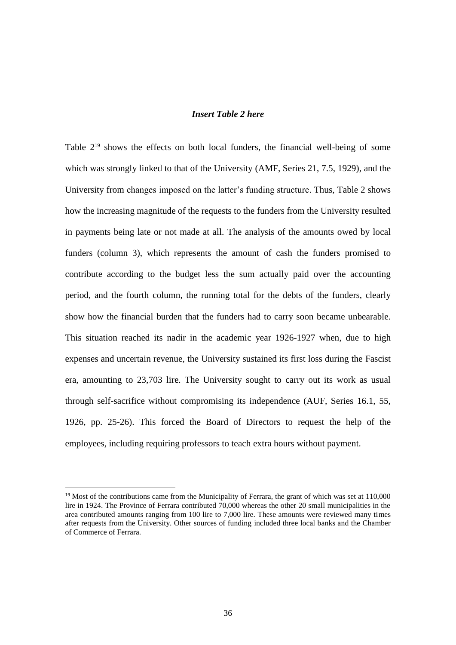### *Insert Table 2 here*

Table  $2^{19}$  shows the effects on both local funders, the financial well-being of some which was strongly linked to that of the University (AMF, Series 21, 7.5, 1929), and the University from changes imposed on the latter's funding structure. Thus, Table 2 shows how the increasing magnitude of the requests to the funders from the University resulted in payments being late or not made at all. The analysis of the amounts owed by local funders (column 3), which represents the amount of cash the funders promised to contribute according to the budget less the sum actually paid over the accounting period, and the fourth column, the running total for the debts of the funders, clearly show how the financial burden that the funders had to carry soon became unbearable. This situation reached its nadir in the academic year 1926-1927 when, due to high expenses and uncertain revenue, the University sustained its first loss during the Fascist era, amounting to 23,703 lire. The University sought to carry out its work as usual through self-sacrifice without compromising its independence (AUF, Series 16.1, 55, 1926, pp. 25-26). This forced the Board of Directors to request the help of the employees, including requiring professors to teach extra hours without payment.

 $\overline{a}$ 

<sup>&</sup>lt;sup>19</sup> Most of the contributions came from the Municipality of Ferrara, the grant of which was set at 110,000 lire in 1924. The Province of Ferrara contributed 70,000 whereas the other 20 small municipalities in the area contributed amounts ranging from 100 lire to 7,000 lire. These amounts were reviewed many times after requests from the University. Other sources of funding included three local banks and the Chamber of Commerce of Ferrara.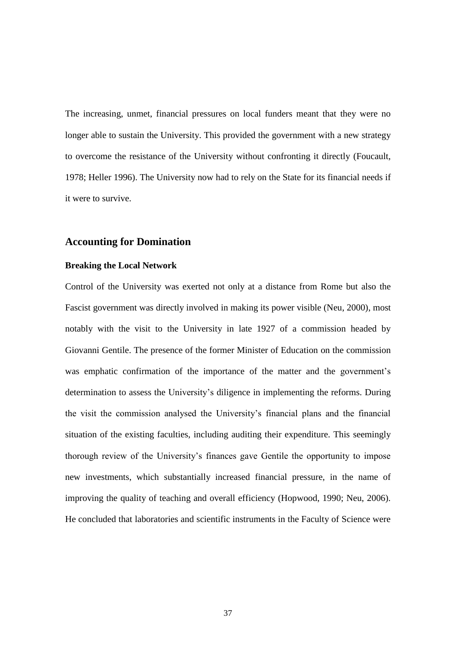The increasing, unmet, financial pressures on local funders meant that they were no longer able to sustain the University. This provided the government with a new strategy to overcome the resistance of the University without confronting it directly (Foucault, 1978; Heller 1996). The University now had to rely on the State for its financial needs if it were to survive.

## **Accounting for Domination**

### **Breaking the Local Network**

Control of the University was exerted not only at a distance from Rome but also the Fascist government was directly involved in making its power visible (Neu, 2000), most notably with the visit to the University in late 1927 of a commission headed by Giovanni Gentile. The presence of the former Minister of Education on the commission was emphatic confirmation of the importance of the matter and the government's determination to assess the University's diligence in implementing the reforms. During the visit the commission analysed the University's financial plans and the financial situation of the existing faculties, including auditing their expenditure. This seemingly thorough review of the University's finances gave Gentile the opportunity to impose new investments, which substantially increased financial pressure, in the name of improving the quality of teaching and overall efficiency (Hopwood, 1990; Neu, 2006). He concluded that laboratories and scientific instruments in the Faculty of Science were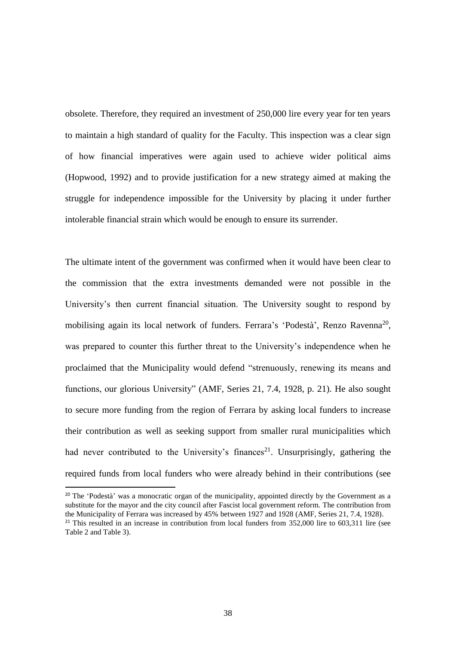obsolete. Therefore, they required an investment of 250,000 lire every year for ten years to maintain a high standard of quality for the Faculty. This inspection was a clear sign of how financial imperatives were again used to achieve wider political aims (Hopwood, 1992) and to provide justification for a new strategy aimed at making the struggle for independence impossible for the University by placing it under further intolerable financial strain which would be enough to ensure its surrender.

The ultimate intent of the government was confirmed when it would have been clear to the commission that the extra investments demanded were not possible in the University's then current financial situation. The University sought to respond by mobilising again its local network of funders. Ferrara's 'Podestà', Renzo Ravenna<sup>20</sup>, was prepared to counter this further threat to the University's independence when he proclaimed that the Municipality would defend "strenuously, renewing its means and functions, our glorious University" (AMF, Series 21, 7.4, 1928, p. 21). He also sought to secure more funding from the region of Ferrara by asking local funders to increase their contribution as well as seeking support from smaller rural municipalities which had never contributed to the University's finances<sup>21</sup>. Unsurprisingly, gathering the required funds from local funders who were already behind in their contributions (see

<sup>20</sup> The 'Podestà' was a monocratic organ of the municipality, appointed directly by the Government as a substitute for the mayor and the city council after Fascist local government reform. The contribution from the Municipality of Ferrara was increased by 45% between 1927 and 1928 (AMF, Series 21, 7.4, 1928). <sup>21</sup> This resulted in an increase in contribution from local funders from  $352,000$  lire to  $603,311$  lire (see

 $\overline{a}$ 

Table 2 and Table 3).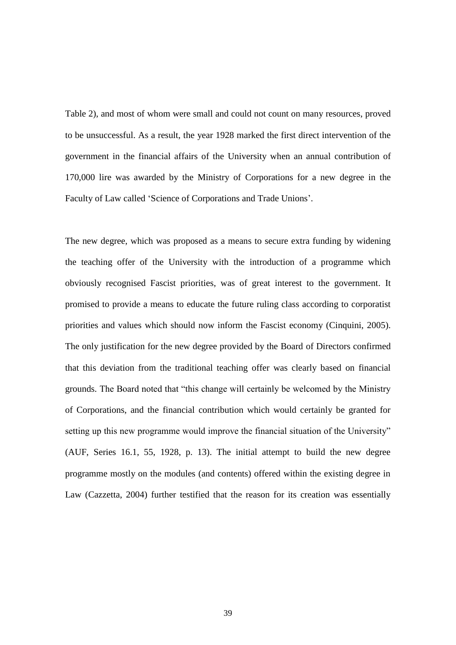Table 2), and most of whom were small and could not count on many resources, proved to be unsuccessful. As a result, the year 1928 marked the first direct intervention of the government in the financial affairs of the University when an annual contribution of 170,000 lire was awarded by the Ministry of Corporations for a new degree in the Faculty of Law called 'Science of Corporations and Trade Unions'.

The new degree, which was proposed as a means to secure extra funding by widening the teaching offer of the University with the introduction of a programme which obviously recognised Fascist priorities, was of great interest to the government. It promised to provide a means to educate the future ruling class according to corporatist priorities and values which should now inform the Fascist economy (Cinquini, 2005). The only justification for the new degree provided by the Board of Directors confirmed that this deviation from the traditional teaching offer was clearly based on financial grounds. The Board noted that "this change will certainly be welcomed by the Ministry of Corporations, and the financial contribution which would certainly be granted for setting up this new programme would improve the financial situation of the University" (AUF, Series 16.1, 55, 1928, p. 13). The initial attempt to build the new degree programme mostly on the modules (and contents) offered within the existing degree in Law (Cazzetta, 2004) further testified that the reason for its creation was essentially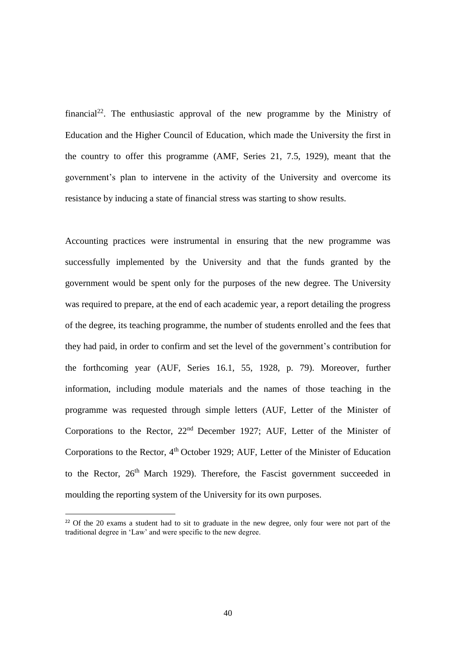financial<sup>22</sup>. The enthusiastic approval of the new programme by the Ministry of Education and the Higher Council of Education, which made the University the first in the country to offer this programme (AMF, Series 21, 7.5, 1929), meant that the government's plan to intervene in the activity of the University and overcome its resistance by inducing a state of financial stress was starting to show results.

Accounting practices were instrumental in ensuring that the new programme was successfully implemented by the University and that the funds granted by the government would be spent only for the purposes of the new degree. The University was required to prepare, at the end of each academic year, a report detailing the progress of the degree, its teaching programme, the number of students enrolled and the fees that they had paid, in order to confirm and set the level of the government's contribution for the forthcoming year (AUF, Series 16.1, 55, 1928, p. 79). Moreover, further information, including module materials and the names of those teaching in the programme was requested through simple letters (AUF, Letter of the Minister of Corporations to the Rector, 22nd December 1927; AUF, Letter of the Minister of Corporations to the Rector,  $4<sup>th</sup>$  October 1929; AUF, Letter of the Minister of Education to the Rector,  $26<sup>th</sup>$  March 1929). Therefore, the Fascist government succeeded in moulding the reporting system of the University for its own purposes.

<sup>&</sup>lt;sup>22</sup> Of the 20 exams a student had to sit to graduate in the new degree, only four were not part of the traditional degree in 'Law' and were specific to the new degree.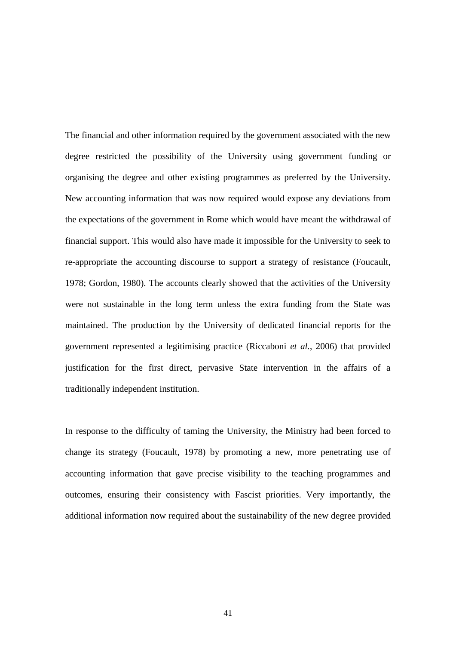The financial and other information required by the government associated with the new degree restricted the possibility of the University using government funding or organising the degree and other existing programmes as preferred by the University. New accounting information that was now required would expose any deviations from the expectations of the government in Rome which would have meant the withdrawal of financial support. This would also have made it impossible for the University to seek to re-appropriate the accounting discourse to support a strategy of resistance (Foucault, 1978; Gordon, 1980). The accounts clearly showed that the activities of the University were not sustainable in the long term unless the extra funding from the State was maintained. The production by the University of dedicated financial reports for the government represented a legitimising practice (Riccaboni *et al.*, 2006) that provided justification for the first direct, pervasive State intervention in the affairs of a traditionally independent institution.

In response to the difficulty of taming the University, the Ministry had been forced to change its strategy (Foucault, 1978) by promoting a new, more penetrating use of accounting information that gave precise visibility to the teaching programmes and outcomes, ensuring their consistency with Fascist priorities. Very importantly, the additional information now required about the sustainability of the new degree provided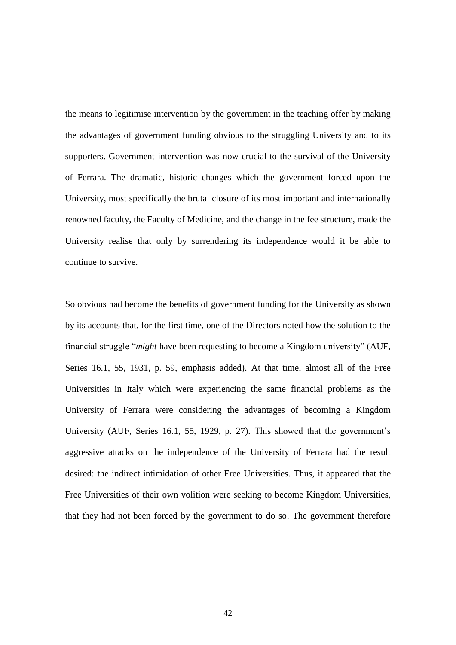the means to legitimise intervention by the government in the teaching offer by making the advantages of government funding obvious to the struggling University and to its supporters. Government intervention was now crucial to the survival of the University of Ferrara. The dramatic, historic changes which the government forced upon the University, most specifically the brutal closure of its most important and internationally renowned faculty, the Faculty of Medicine, and the change in the fee structure, made the University realise that only by surrendering its independence would it be able to continue to survive.

So obvious had become the benefits of government funding for the University as shown by its accounts that, for the first time, one of the Directors noted how the solution to the financial struggle "*might* have been requesting to become a Kingdom university" (AUF, Series 16.1, 55, 1931, p. 59, emphasis added). At that time, almost all of the Free Universities in Italy which were experiencing the same financial problems as the University of Ferrara were considering the advantages of becoming a Kingdom University (AUF, Series 16.1, 55, 1929, p. 27). This showed that the government's aggressive attacks on the independence of the University of Ferrara had the result desired: the indirect intimidation of other Free Universities. Thus, it appeared that the Free Universities of their own volition were seeking to become Kingdom Universities, that they had not been forced by the government to do so. The government therefore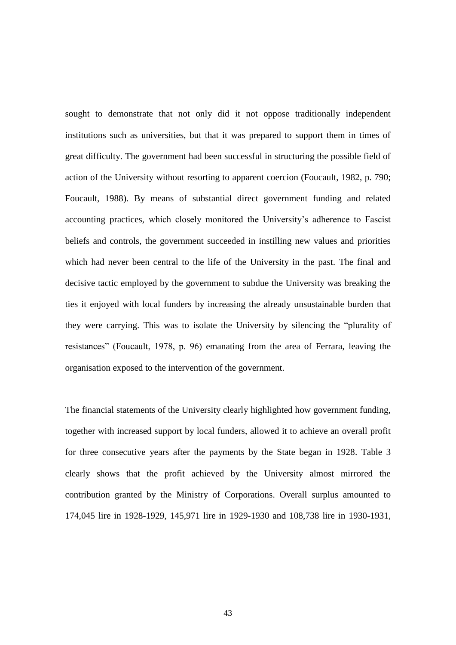sought to demonstrate that not only did it not oppose traditionally independent institutions such as universities, but that it was prepared to support them in times of great difficulty. The government had been successful in structuring the possible field of action of the University without resorting to apparent coercion (Foucault, 1982, p. 790; Foucault, 1988). By means of substantial direct government funding and related accounting practices, which closely monitored the University's adherence to Fascist beliefs and controls, the government succeeded in instilling new values and priorities which had never been central to the life of the University in the past. The final and decisive tactic employed by the government to subdue the University was breaking the ties it enjoyed with local funders by increasing the already unsustainable burden that they were carrying. This was to isolate the University by silencing the "plurality of resistances" (Foucault, 1978, p. 96) emanating from the area of Ferrara, leaving the organisation exposed to the intervention of the government.

The financial statements of the University clearly highlighted how government funding, together with increased support by local funders, allowed it to achieve an overall profit for three consecutive years after the payments by the State began in 1928. Table 3 clearly shows that the profit achieved by the University almost mirrored the contribution granted by the Ministry of Corporations. Overall surplus amounted to 174,045 lire in 1928-1929, 145,971 lire in 1929-1930 and 108,738 lire in 1930-1931,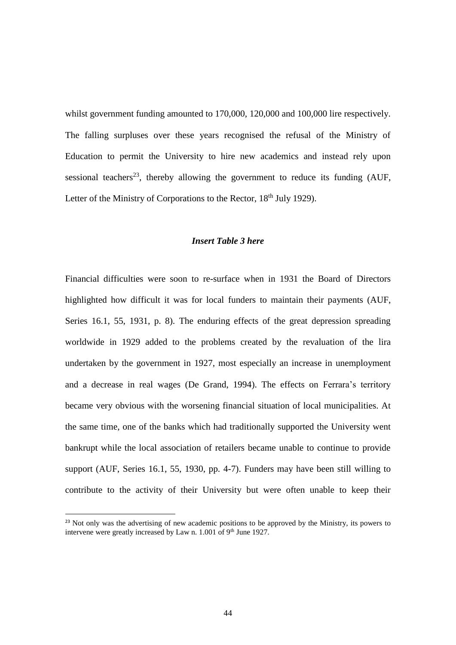whilst government funding amounted to 170,000, 120,000 and 100,000 lire respectively. The falling surpluses over these years recognised the refusal of the Ministry of Education to permit the University to hire new academics and instead rely upon sessional teachers<sup>23</sup>, thereby allowing the government to reduce its funding  $(AUF,$ Letter of the Ministry of Corporations to the Rector, 18<sup>th</sup> July 1929).

### *Insert Table 3 here*

Financial difficulties were soon to re-surface when in 1931 the Board of Directors highlighted how difficult it was for local funders to maintain their payments (AUF, Series 16.1, 55, 1931, p. 8). The enduring effects of the great depression spreading worldwide in 1929 added to the problems created by the revaluation of the lira undertaken by the government in 1927, most especially an increase in unemployment and a decrease in real wages (De Grand, 1994). The effects on Ferrara's territory became very obvious with the worsening financial situation of local municipalities. At the same time, one of the banks which had traditionally supported the University went bankrupt while the local association of retailers became unable to continue to provide support (AUF, Series 16.1, 55, 1930, pp. 4-7). Funders may have been still willing to contribute to the activity of their University but were often unable to keep their

<sup>&</sup>lt;sup>23</sup> Not only was the advertising of new academic positions to be approved by the Ministry, its powers to intervene were greatly increased by Law n. 1.001 of 9<sup>th</sup> June 1927.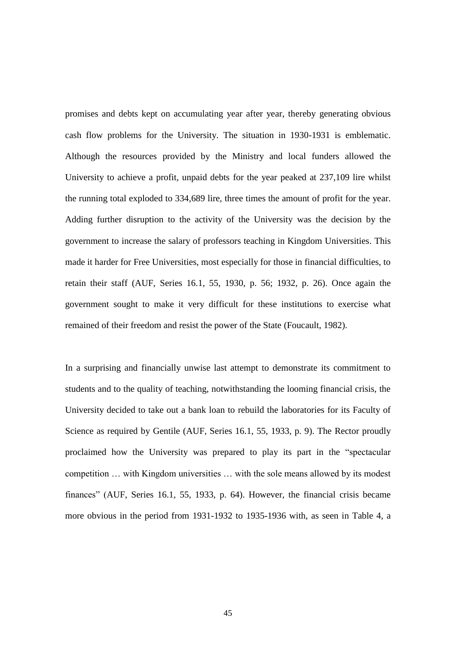promises and debts kept on accumulating year after year, thereby generating obvious cash flow problems for the University. The situation in 1930-1931 is emblematic. Although the resources provided by the Ministry and local funders allowed the University to achieve a profit, unpaid debts for the year peaked at 237,109 lire whilst the running total exploded to 334,689 lire, three times the amount of profit for the year. Adding further disruption to the activity of the University was the decision by the government to increase the salary of professors teaching in Kingdom Universities. This made it harder for Free Universities, most especially for those in financial difficulties, to retain their staff (AUF, Series 16.1, 55, 1930, p. 56; 1932, p. 26). Once again the government sought to make it very difficult for these institutions to exercise what remained of their freedom and resist the power of the State (Foucault, 1982).

In a surprising and financially unwise last attempt to demonstrate its commitment to students and to the quality of teaching, notwithstanding the looming financial crisis, the University decided to take out a bank loan to rebuild the laboratories for its Faculty of Science as required by Gentile (AUF, Series 16.1, 55, 1933, p. 9). The Rector proudly proclaimed how the University was prepared to play its part in the "spectacular competition … with Kingdom universities … with the sole means allowed by its modest finances" (AUF, Series 16.1, 55, 1933, p. 64). However, the financial crisis became more obvious in the period from 1931-1932 to 1935-1936 with, as seen in Table 4, a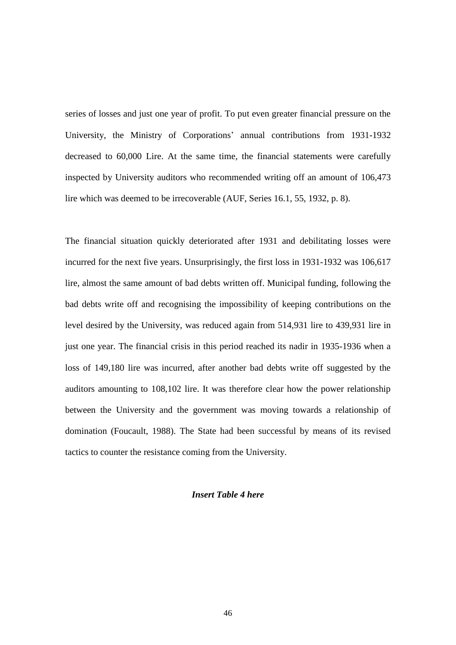series of losses and just one year of profit. To put even greater financial pressure on the University, the Ministry of Corporations' annual contributions from 1931-1932 decreased to 60,000 Lire. At the same time, the financial statements were carefully inspected by University auditors who recommended writing off an amount of 106,473 lire which was deemed to be irrecoverable (AUF, Series 16.1, 55, 1932, p. 8).

The financial situation quickly deteriorated after 1931 and debilitating losses were incurred for the next five years. Unsurprisingly, the first loss in 1931-1932 was 106,617 lire, almost the same amount of bad debts written off. Municipal funding, following the bad debts write off and recognising the impossibility of keeping contributions on the level desired by the University, was reduced again from 514,931 lire to 439,931 lire in just one year. The financial crisis in this period reached its nadir in 1935-1936 when a loss of 149,180 lire was incurred, after another bad debts write off suggested by the auditors amounting to 108,102 lire. It was therefore clear how the power relationship between the University and the government was moving towards a relationship of domination (Foucault, 1988). The State had been successful by means of its revised tactics to counter the resistance coming from the University.

#### *Insert Table 4 here*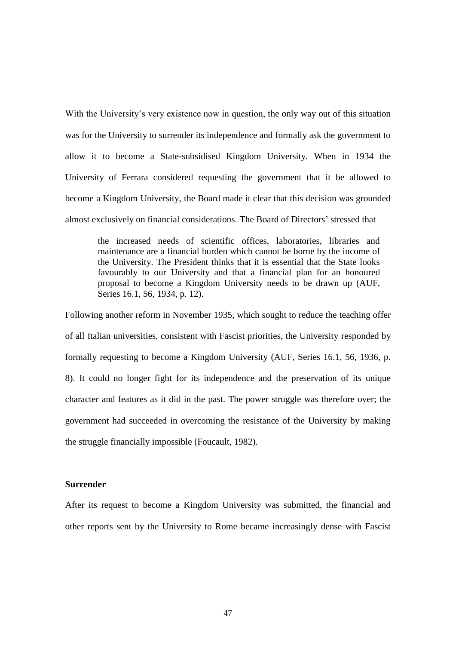With the University's very existence now in question, the only way out of this situation was for the University to surrender its independence and formally ask the government to allow it to become a State-subsidised Kingdom University. When in 1934 the University of Ferrara considered requesting the government that it be allowed to become a Kingdom University, the Board made it clear that this decision was grounded almost exclusively on financial considerations. The Board of Directors' stressed that

the increased needs of scientific offices, laboratories, libraries and maintenance are a financial burden which cannot be borne by the income of the University. The President thinks that it is essential that the State looks favourably to our University and that a financial plan for an honoured proposal to become a Kingdom University needs to be drawn up (AUF, Series 16.1, 56, 1934, p. 12).

Following another reform in November 1935, which sought to reduce the teaching offer of all Italian universities, consistent with Fascist priorities, the University responded by formally requesting to become a Kingdom University (AUF, Series 16.1, 56, 1936, p. 8). It could no longer fight for its independence and the preservation of its unique character and features as it did in the past. The power struggle was therefore over; the government had succeeded in overcoming the resistance of the University by making the struggle financially impossible (Foucault, 1982).

#### **Surrender**

After its request to become a Kingdom University was submitted, the financial and other reports sent by the University to Rome became increasingly dense with Fascist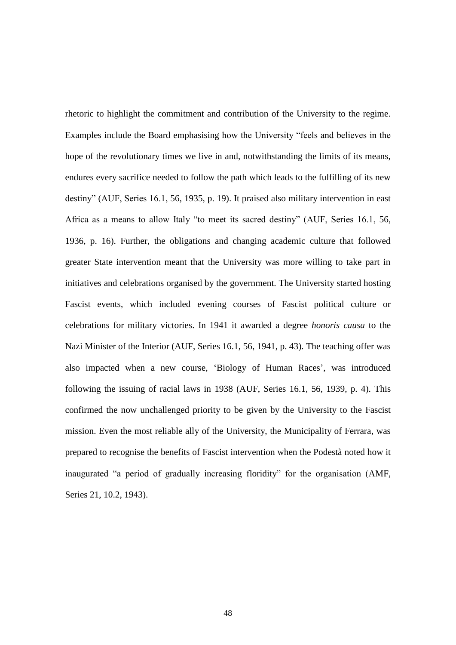rhetoric to highlight the commitment and contribution of the University to the regime. Examples include the Board emphasising how the University "feels and believes in the hope of the revolutionary times we live in and, notwithstanding the limits of its means, endures every sacrifice needed to follow the path which leads to the fulfilling of its new destiny" (AUF, Series 16.1, 56, 1935, p. 19). It praised also military intervention in east Africa as a means to allow Italy "to meet its sacred destiny" (AUF, Series 16.1, 56, 1936, p. 16). Further, the obligations and changing academic culture that followed greater State intervention meant that the University was more willing to take part in initiatives and celebrations organised by the government. The University started hosting Fascist events, which included evening courses of Fascist political culture or celebrations for military victories. In 1941 it awarded a degree *honoris causa* to the Nazi Minister of the Interior (AUF, Series 16.1, 56, 1941, p. 43). The teaching offer was also impacted when a new course, 'Biology of Human Races', was introduced following the issuing of racial laws in 1938 (AUF, Series 16.1, 56, 1939, p. 4). This confirmed the now unchallenged priority to be given by the University to the Fascist mission. Even the most reliable ally of the University, the Municipality of Ferrara, was prepared to recognise the benefits of Fascist intervention when the Podestà noted how it inaugurated "a period of gradually increasing floridity" for the organisation (AMF, Series 21, 10.2, 1943).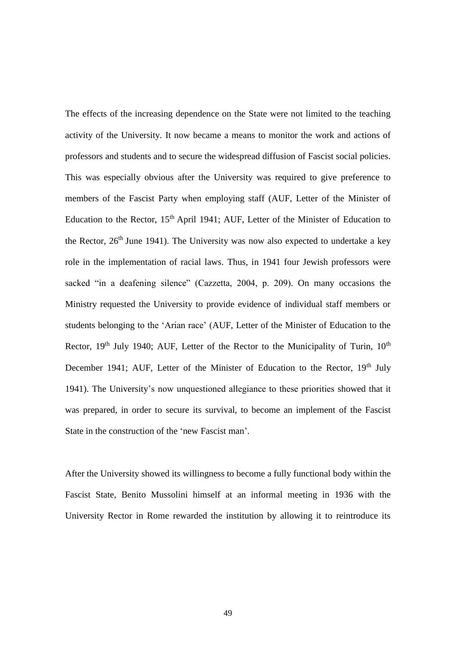The effects of the increasing dependence on the State were not limited to the teaching activity of the University. It now became a means to monitor the work and actions of professors and students and to secure the widespread diffusion of Fascist social policies. This was especially obvious after the University was required to give preference to members of the Fascist Party when employing staff (AUF, Letter of the Minister of Education to the Rector, 15<sup>th</sup> April 1941; AUF, Letter of the Minister of Education to the Rector,  $26<sup>th</sup>$  June 1941). The University was now also expected to undertake a key role in the implementation of racial laws. Thus, in 1941 four Jewish professors were sacked "in a deafening silence" (Cazzetta, 2004, p. 209). On many occasions the Ministry requested the University to provide evidence of individual staff members or students belonging to the 'Arian race' (AUF, Letter of the Minister of Education to the Rector,  $19<sup>th</sup>$  July 1940; AUF, Letter of the Rector to the Municipality of Turin,  $10<sup>th</sup>$ December 1941; AUF, Letter of the Minister of Education to the Rector, 19<sup>th</sup> July 1941). The University's now unquestioned allegiance to these priorities showed that it was prepared, in order to secure its survival, to become an implement of the Fascist State in the construction of the 'new Fascist man'.

After the University showed its willingness to become a fully functional body within the Fascist State, Benito Mussolini himself at an informal meeting in 1936 with the University Rector in Rome rewarded the institution by allowing it to reintroduce its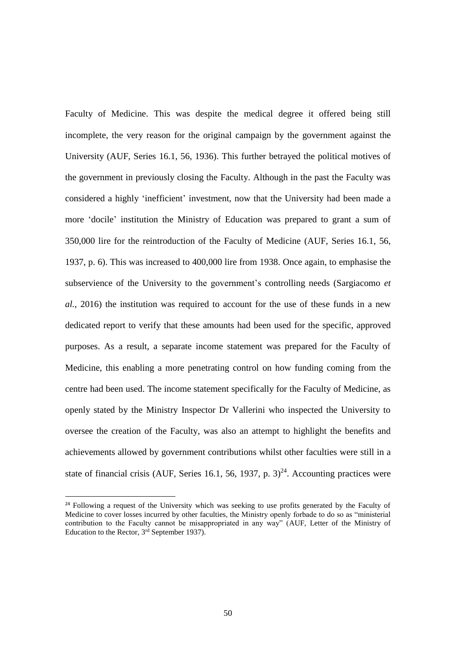Faculty of Medicine. This was despite the medical degree it offered being still incomplete, the very reason for the original campaign by the government against the University (AUF, Series 16.1, 56, 1936). This further betrayed the political motives of the government in previously closing the Faculty. Although in the past the Faculty was considered a highly 'inefficient' investment, now that the University had been made a more 'docile' institution the Ministry of Education was prepared to grant a sum of 350,000 lire for the reintroduction of the Faculty of Medicine (AUF, Series 16.1, 56, 1937, p. 6). This was increased to 400,000 lire from 1938. Once again, to emphasise the subservience of the University to the government's controlling needs (Sargiacomo *et al.*, 2016) the institution was required to account for the use of these funds in a new dedicated report to verify that these amounts had been used for the specific, approved purposes. As a result, a separate income statement was prepared for the Faculty of Medicine, this enabling a more penetrating control on how funding coming from the centre had been used. The income statement specifically for the Faculty of Medicine, as openly stated by the Ministry Inspector Dr Vallerini who inspected the University to oversee the creation of the Faculty, was also an attempt to highlight the benefits and achievements allowed by government contributions whilst other faculties were still in a state of financial crisis (AUF, Series 16.1, 56, 1937, p.  $3)^{24}$ . Accounting practices were

**.** 

<sup>&</sup>lt;sup>24</sup> Following a request of the University which was seeking to use profits generated by the Faculty of Medicine to cover losses incurred by other faculties, the Ministry openly forbade to do so as "ministerial contribution to the Faculty cannot be misappropriated in any way" (AUF, Letter of the Ministry of Education to the Rector, 3<sup>rd</sup> September 1937).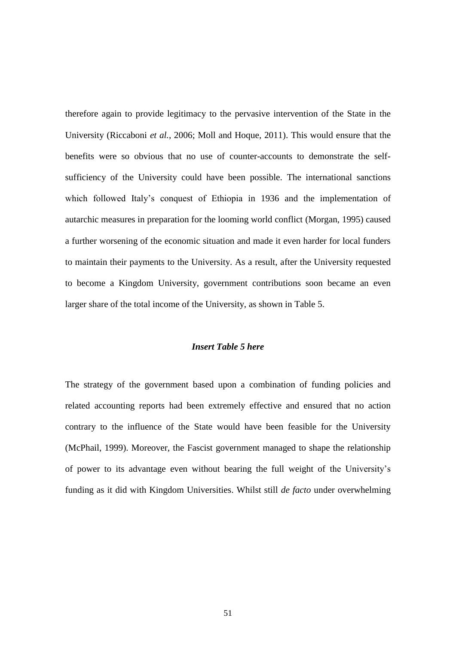therefore again to provide legitimacy to the pervasive intervention of the State in the University (Riccaboni *et al.*, 2006; Moll and Hoque, 2011). This would ensure that the benefits were so obvious that no use of counter-accounts to demonstrate the selfsufficiency of the University could have been possible. The international sanctions which followed Italy's conquest of Ethiopia in 1936 and the implementation of autarchic measures in preparation for the looming world conflict (Morgan, 1995) caused a further worsening of the economic situation and made it even harder for local funders to maintain their payments to the University. As a result, after the University requested to become a Kingdom University, government contributions soon became an even larger share of the total income of the University, as shown in Table 5.

#### *Insert Table 5 here*

The strategy of the government based upon a combination of funding policies and related accounting reports had been extremely effective and ensured that no action contrary to the influence of the State would have been feasible for the University (McPhail, 1999). Moreover, the Fascist government managed to shape the relationship of power to its advantage even without bearing the full weight of the University's funding as it did with Kingdom Universities. Whilst still *de facto* under overwhelming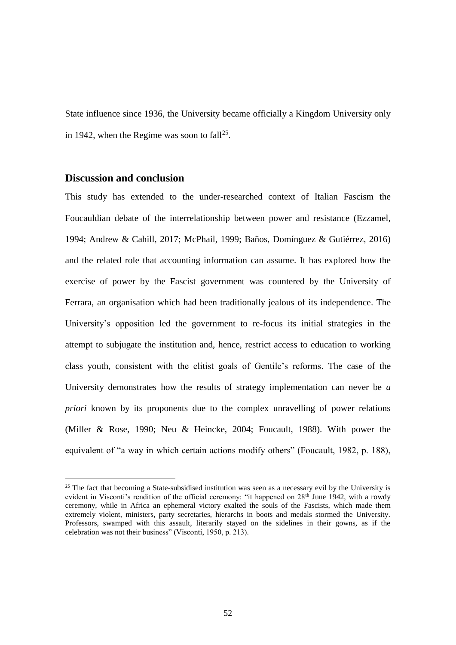State influence since 1936, the University became officially a Kingdom University only in 1942, when the Regime was soon to fall<sup>25</sup>.

# **Discussion and conclusion**

**.** 

This study has extended to the under-researched context of Italian Fascism the Foucauldian debate of the interrelationship between power and resistance (Ezzamel, 1994; Andrew & Cahill, 2017; McPhail, 1999; Baños, Domínguez & Gutiérrez, 2016) and the related role that accounting information can assume. It has explored how the exercise of power by the Fascist government was countered by the University of Ferrara, an organisation which had been traditionally jealous of its independence. The University's opposition led the government to re-focus its initial strategies in the attempt to subjugate the institution and, hence, restrict access to education to working class youth, consistent with the elitist goals of Gentile's reforms. The case of the University demonstrates how the results of strategy implementation can never be *a priori* known by its proponents due to the complex unravelling of power relations (Miller & Rose, 1990; Neu & Heincke, 2004; Foucault, 1988). With power the equivalent of "a way in which certain actions modify others" (Foucault, 1982, p. 188),

<sup>&</sup>lt;sup>25</sup> The fact that becoming a State-subsidised institution was seen as a necessary evil by the University is evident in Visconti's rendition of the official ceremony: "it happened on 28<sup>th</sup> June 1942, with a rowdy ceremony, while in Africa an ephemeral victory exalted the souls of the Fascists, which made them extremely violent, ministers, party secretaries, hierarchs in boots and medals stormed the University. Professors, swamped with this assault, literarily stayed on the sidelines in their gowns, as if the celebration was not their business" (Visconti, 1950, p. 213).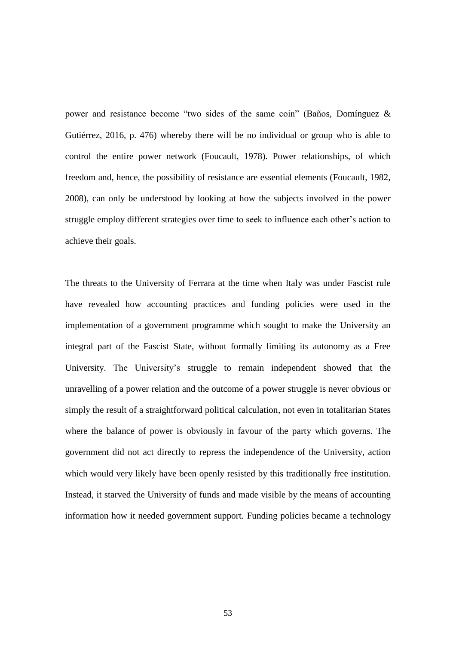power and resistance become "two sides of the same coin" (Baños, Domínguez & Gutiérrez, 2016, p. 476) whereby there will be no individual or group who is able to control the entire power network (Foucault, 1978). Power relationships, of which freedom and, hence, the possibility of resistance are essential elements (Foucault, 1982, 2008), can only be understood by looking at how the subjects involved in the power struggle employ different strategies over time to seek to influence each other's action to achieve their goals.

The threats to the University of Ferrara at the time when Italy was under Fascist rule have revealed how accounting practices and funding policies were used in the implementation of a government programme which sought to make the University an integral part of the Fascist State, without formally limiting its autonomy as a Free University. The University's struggle to remain independent showed that the unravelling of a power relation and the outcome of a power struggle is never obvious or simply the result of a straightforward political calculation, not even in totalitarian States where the balance of power is obviously in favour of the party which governs. The government did not act directly to repress the independence of the University, action which would very likely have been openly resisted by this traditionally free institution. Instead, it starved the University of funds and made visible by the means of accounting information how it needed government support. Funding policies became a technology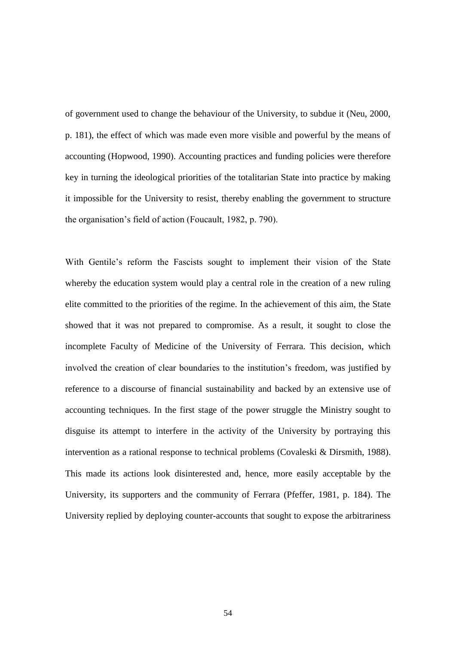of government used to change the behaviour of the University, to subdue it (Neu, 2000, p. 181), the effect of which was made even more visible and powerful by the means of accounting (Hopwood, 1990). Accounting practices and funding policies were therefore key in turning the ideological priorities of the totalitarian State into practice by making it impossible for the University to resist, thereby enabling the government to structure the organisation's field of action (Foucault, 1982, p. 790).

With Gentile's reform the Fascists sought to implement their vision of the State whereby the education system would play a central role in the creation of a new ruling elite committed to the priorities of the regime. In the achievement of this aim, the State showed that it was not prepared to compromise. As a result, it sought to close the incomplete Faculty of Medicine of the University of Ferrara. This decision, which involved the creation of clear boundaries to the institution's freedom, was justified by reference to a discourse of financial sustainability and backed by an extensive use of accounting techniques. In the first stage of the power struggle the Ministry sought to disguise its attempt to interfere in the activity of the University by portraying this intervention as a rational response to technical problems (Covaleski & Dirsmith, 1988). This made its actions look disinterested and, hence, more easily acceptable by the University, its supporters and the community of Ferrara (Pfeffer, 1981, p. 184). The University replied by deploying counter-accounts that sought to expose the arbitrariness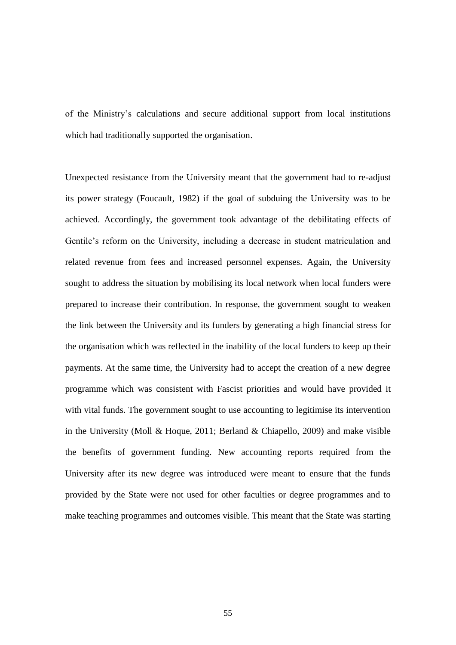of the Ministry's calculations and secure additional support from local institutions which had traditionally supported the organisation.

Unexpected resistance from the University meant that the government had to re-adjust its power strategy (Foucault, 1982) if the goal of subduing the University was to be achieved. Accordingly, the government took advantage of the debilitating effects of Gentile's reform on the University, including a decrease in student matriculation and related revenue from fees and increased personnel expenses. Again, the University sought to address the situation by mobilising its local network when local funders were prepared to increase their contribution. In response, the government sought to weaken the link between the University and its funders by generating a high financial stress for the organisation which was reflected in the inability of the local funders to keep up their payments. At the same time, the University had to accept the creation of a new degree programme which was consistent with Fascist priorities and would have provided it with vital funds. The government sought to use accounting to legitimise its intervention in the University (Moll & Hoque, 2011; Berland & Chiapello, 2009) and make visible the benefits of government funding. New accounting reports required from the University after its new degree was introduced were meant to ensure that the funds provided by the State were not used for other faculties or degree programmes and to make teaching programmes and outcomes visible. This meant that the State was starting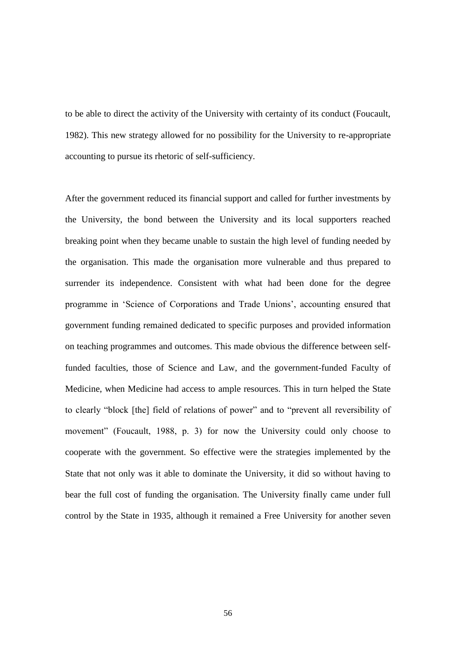to be able to direct the activity of the University with certainty of its conduct (Foucault, 1982). This new strategy allowed for no possibility for the University to re-appropriate accounting to pursue its rhetoric of self-sufficiency.

After the government reduced its financial support and called for further investments by the University, the bond between the University and its local supporters reached breaking point when they became unable to sustain the high level of funding needed by the organisation. This made the organisation more vulnerable and thus prepared to surrender its independence. Consistent with what had been done for the degree programme in 'Science of Corporations and Trade Unions', accounting ensured that government funding remained dedicated to specific purposes and provided information on teaching programmes and outcomes. This made obvious the difference between selffunded faculties, those of Science and Law, and the government-funded Faculty of Medicine, when Medicine had access to ample resources. This in turn helped the State to clearly "block [the] field of relations of power" and to "prevent all reversibility of movement" (Foucault, 1988, p. 3) for now the University could only choose to cooperate with the government. So effective were the strategies implemented by the State that not only was it able to dominate the University, it did so without having to bear the full cost of funding the organisation. The University finally came under full control by the State in 1935, although it remained a Free University for another seven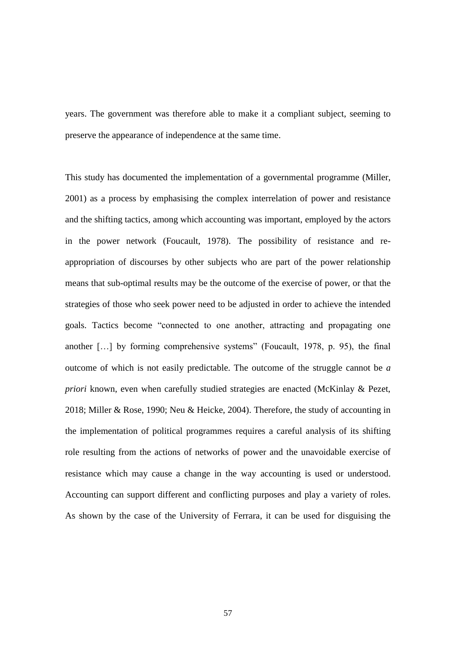years. The government was therefore able to make it a compliant subject, seeming to preserve the appearance of independence at the same time.

This study has documented the implementation of a governmental programme (Miller, 2001) as a process by emphasising the complex interrelation of power and resistance and the shifting tactics, among which accounting was important, employed by the actors in the power network (Foucault, 1978). The possibility of resistance and reappropriation of discourses by other subjects who are part of the power relationship means that sub-optimal results may be the outcome of the exercise of power, or that the strategies of those who seek power need to be adjusted in order to achieve the intended goals. Tactics become "connected to one another, attracting and propagating one another […] by forming comprehensive systems" (Foucault, 1978, p. 95), the final outcome of which is not easily predictable. The outcome of the struggle cannot be *a priori* known, even when carefully studied strategies are enacted (McKinlay & Pezet, 2018; Miller & Rose, 1990; Neu & Heicke, 2004). Therefore, the study of accounting in the implementation of political programmes requires a careful analysis of its shifting role resulting from the actions of networks of power and the unavoidable exercise of resistance which may cause a change in the way accounting is used or understood. Accounting can support different and conflicting purposes and play a variety of roles. As shown by the case of the University of Ferrara, it can be used for disguising the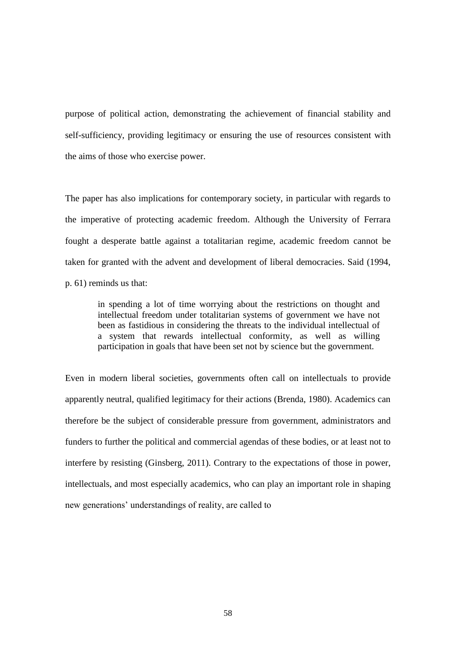purpose of political action, demonstrating the achievement of financial stability and self-sufficiency, providing legitimacy or ensuring the use of resources consistent with the aims of those who exercise power.

The paper has also implications for contemporary society, in particular with regards to the imperative of protecting academic freedom. Although the University of Ferrara fought a desperate battle against a totalitarian regime, academic freedom cannot be taken for granted with the advent and development of liberal democracies. Said (1994, p. 61) reminds us that:

in spending a lot of time worrying about the restrictions on thought and intellectual freedom under totalitarian systems of government we have not been as fastidious in considering the threats to the individual intellectual of a system that rewards intellectual conformity, as well as willing participation in goals that have been set not by science but the government.

Even in modern liberal societies, governments often call on intellectuals to provide apparently neutral, qualified legitimacy for their actions (Brenda, 1980). Academics can therefore be the subject of considerable pressure from government, administrators and funders to further the political and commercial agendas of these bodies, or at least not to interfere by resisting (Ginsberg, 2011). Contrary to the expectations of those in power, intellectuals, and most especially academics, who can play an important role in shaping new generations' understandings of reality, are called to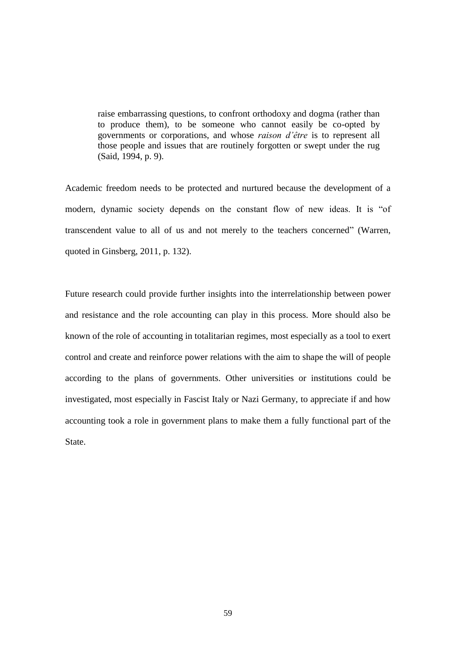raise embarrassing questions, to confront orthodoxy and dogma (rather than to produce them), to be someone who cannot easily be co-opted by governments or corporations, and whose *raison d'être* is to represent all those people and issues that are routinely forgotten or swept under the rug (Said, 1994, p. 9).

Academic freedom needs to be protected and nurtured because the development of a modern, dynamic society depends on the constant flow of new ideas. It is "of transcendent value to all of us and not merely to the teachers concerned" (Warren, quoted in Ginsberg, 2011, p. 132).

Future research could provide further insights into the interrelationship between power and resistance and the role accounting can play in this process. More should also be known of the role of accounting in totalitarian regimes, most especially as a tool to exert control and create and reinforce power relations with the aim to shape the will of people according to the plans of governments. Other universities or institutions could be investigated, most especially in Fascist Italy or Nazi Germany, to appreciate if and how accounting took a role in government plans to make them a fully functional part of the State.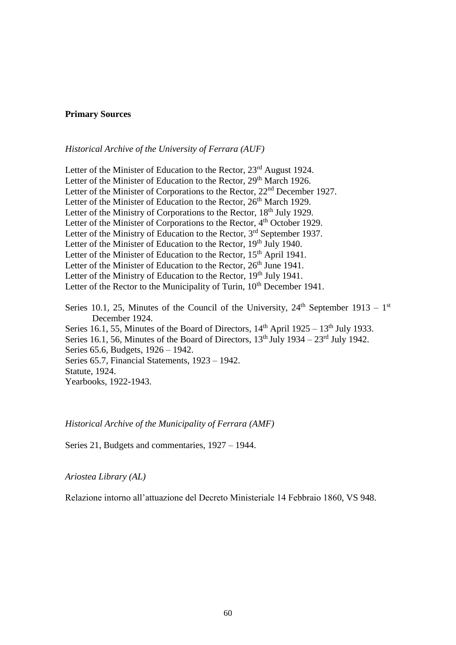#### **Primary Sources**

### *Historical Archive of the University of Ferrara (AUF)*

Letter of the Minister of Education to the Rector, 23<sup>rd</sup> August 1924. Letter of the Minister of Education to the Rector, 29<sup>th</sup> March 1926. Letter of the Minister of Corporations to the Rector, 22<sup>nd</sup> December 1927. Letter of the Minister of Education to the Rector, 26<sup>th</sup> March 1929. Letter of the Ministry of Corporations to the Rector, 18<sup>th</sup> July 1929. Letter of the Minister of Corporations to the Rector, 4<sup>th</sup> October 1929. Letter of the Ministry of Education to the Rector,  $3<sup>rd</sup>$  September 1937. Letter of the Minister of Education to the Rector, 19<sup>th</sup> July 1940. Letter of the Minister of Education to the Rector, 15<sup>th</sup> April 1941. Letter of the Minister of Education to the Rector,  $26<sup>th</sup>$  June 1941. Letter of the Ministry of Education to the Rector, 19<sup>th</sup> July 1941. Letter of the Rector to the Municipality of Turin, 10<sup>th</sup> December 1941. Series 10.1, 25, Minutes of the Council of the University,  $24<sup>th</sup>$  September 1913 – 1<sup>st</sup> December 1924. Series 16.1, 55, Minutes of the Board of Directors,  $14<sup>th</sup>$  April 1925 –  $13<sup>th</sup>$  July 1933. Series 16.1, 56, Minutes of the Board of Directors,  $13<sup>th</sup>$  July  $1934 - 23<sup>rd</sup>$  July 1942. Series 65.6, Budgets, 1926 – 1942. Series 65.7, Financial Statements, 1923 – 1942. Statute, 1924. Yearbooks, 1922-1943.

#### *Historical Archive of the Municipality of Ferrara (AMF)*

Series 21, Budgets and commentaries, 1927 – 1944.

*Ariostea Library (AL)*

Relazione intorno all'attuazione del Decreto Ministeriale 14 Febbraio 1860, VS 948.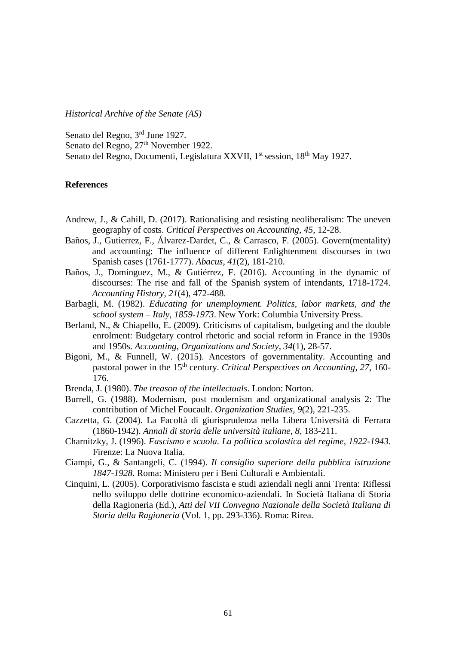*Historical Archive of the Senate (AS)*

Senato del Regno, 3<sup>rd</sup> June 1927.

Senato del Regno, 27<sup>th</sup> November 1922.

Senato del Regno, Documenti, Legislatura XXVII, 1<sup>st</sup> session, 18<sup>th</sup> May 1927.

### **References**

- Andrew, J., & Cahill, D. (2017). Rationalising and resisting neoliberalism: The uneven geography of costs. *Critical Perspectives on Accounting*, *45*, 12-28.
- Baños, J., Gutierrez, F., Álvarez-Dardet, C., & Carrasco, F. (2005). Govern(mentality) and accounting: The influence of different Enlightenment discourses in two Spanish cases (1761-1777). *Abacus*, *41*(2), 181-210.
- Baños, J., Domínguez, M., & Gutiérrez, F. (2016). Accounting in the dynamic of discourses: The rise and fall of the Spanish system of intendants, 1718-1724. *Accounting History*, *21*(4), 472-488.
- Barbagli, M. (1982). *Educating for unemployment. Politics, labor markets, and the school system – Italy, 1859-1973*. New York: Columbia University Press.
- Berland, N., & Chiapello, E. (2009). Criticisms of capitalism, budgeting and the double enrolment: Budgetary control rhetoric and social reform in France in the 1930s and 1950s. *Accounting, Organizations and Society*, *34*(1), 28-57.
- Bigoni, M., & Funnell, W. (2015). Ancestors of governmentality. Accounting and pastoral power in the 15th century. *Critical Perspectives on Accounting*, *27*, 160- 176.
- Brenda, J. (1980). *The treason of the intellectuals*. London: Norton.
- Burrell, G. (1988). Modernism, post modernism and organizational analysis 2: The contribution of Michel Foucault. *Organization Studies*, *9*(2), 221-235.
- Cazzetta, G. (2004). La Facoltà di giurisprudenza nella Libera Università di Ferrara (1860-1942). *Annali di storia delle università italiane*, *8*, 183-211.
- Charnitzky, J. (1996). *Fascismo e scuola. La politica scolastica del regime, 1922-1943*. Firenze: La Nuova Italia.
- Ciampi, G., & Santangeli, C. (1994). *Il consiglio superiore della pubblica istruzione 1847-1928*. Roma: Ministero per i Beni Culturali e Ambientali.
- Cinquini, L. (2005). Corporativismo fascista e studi aziendali negli anni Trenta: Riflessi nello sviluppo delle dottrine economico-aziendali. In Società Italiana di Storia della Ragioneria (Ed.), *Atti del VII Convegno Nazionale della Società Italiana di Storia della Ragioneria* (Vol. 1, pp. 293-336). Roma: Rirea.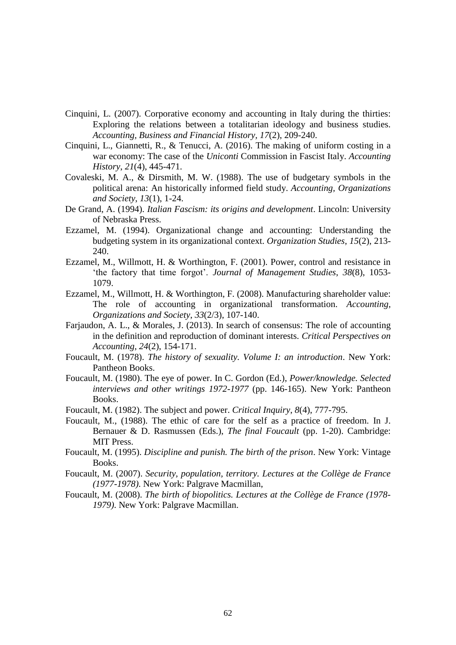- Cinquini, L. (2007). Corporative economy and accounting in Italy during the thirties: Exploring the relations between a totalitarian ideology and business studies. *Accounting, Business and Financial History, 17*(2), 209-240.
- Cinquini, L., Giannetti, R., & Tenucci, A. (2016). The making of uniform costing in a war economy: The case of the *Uniconti* Commission in Fascist Italy. *Accounting History*, *21*(4), 445-471.
- Covaleski, M. A., & Dirsmith, M. W. (1988). The use of budgetary symbols in the political arena: An historically informed field study. *Accounting, Organizations and Society*, *13*(1), 1-24.
- De Grand, A. (1994). *Italian Fascism: its origins and development*. Lincoln: University of Nebraska Press.
- Ezzamel, M. (1994). Organizational change and accounting: Understanding the budgeting system in its organizational context. *Organization Studies*, *15*(2), 213- 240.
- Ezzamel, M., Willmott, H. & Worthington, F. (2001). Power, control and resistance in 'the factory that time forgot'. *Journal of Management Studies*, *38*(8), 1053- 1079.
- Ezzamel, M., Willmott, H. & Worthington, F. (2008). Manufacturing shareholder value: The role of accounting in organizational transformation. *Accounting, Organizations and Society*, *33*(2/3), 107-140.
- Farjaudon, A. L., & Morales, J. (2013). In search of consensus: The role of accounting in the definition and reproduction of dominant interests. *Critical Perspectives on Accounting*, *24*(2), 154-171.
- Foucault, M. (1978). *The history of sexuality. Volume I: an introduction*. New York: Pantheon Books.
- Foucault, M. (1980). The eye of power. In C. Gordon (Ed.), *Power/knowledge. Selected interviews and other writings 1972-1977* (pp. 146-165). New York: Pantheon Books.
- Foucault, M. (1982). The subject and power. *Critical Inquiry*, *8*(4), 777-795.
- Foucault, M., (1988). The ethic of care for the self as a practice of freedom. In J. Bernauer & D. Rasmussen (Eds.), *The final Foucault* (pp. 1-20). Cambridge: MIT Press.
- Foucault, M. (1995). *Discipline and punish. The birth of the prison*. New York: Vintage Books.
- Foucault, M. (2007). *Security, population, territory. Lectures at the Collège de France (1977-1978)*. New York: Palgrave Macmillan,
- Foucault, M. (2008). *The birth of biopolitics. Lectures at the Collège de France (1978- 1979)*. New York: Palgrave Macmillan.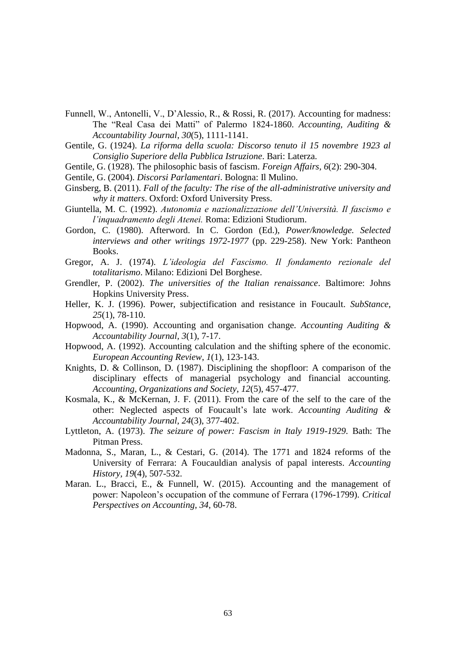- Funnell, W., Antonelli, V., D'Alessio, R., & Rossi, R. (2017). Accounting for madness: The "Real Casa dei Matti" of Palermo 1824-1860. *Accounting, Auditing & Accountability Journal*, *30*(5), 1111-1141.
- Gentile, G. (1924). *La riforma della scuola: Discorso tenuto il 15 novembre 1923 al Consiglio Superiore della Pubblica Istruzione*. Bari: Laterza.
- Gentile, G. (1928). The philosophic basis of fascism. *Foreign Affairs, 6*(2): 290-304.

Gentile, G. (2004). *Discorsi Parlamentari*. Bologna: Il Mulino.

- Ginsberg, B. (2011). *Fall of the faculty: The rise of the all-administrative university and why it matters*. Oxford: Oxford University Press.
- Giuntella, M. C. (1992). *Autonomia e nazionalizzazione dell'Università. Il fascismo e l'inquadramento degli Atenei.* Roma: Edizioni Studiorum.
- Gordon, C. (1980). Afterword. In C. Gordon (Ed.), *Power/knowledge. Selected interviews and other writings 1972-1977* (pp. 229-258). New York: Pantheon Books.
- Gregor, A. J. (1974). *L'ideologia del Fascismo. Il fondamento rezionale del totalitarismo*. Milano: Edizioni Del Borghese.
- Grendler, P. (2002). *The universities of the Italian renaissance*. Baltimore: Johns Hopkins University Press.
- Heller, K. J. (1996). Power, subjectification and resistance in Foucault. *SubStance*, *25*(1), 78-110.
- Hopwood, A. (1990). Accounting and organisation change. *Accounting Auditing & Accountability Journal, 3*(1), 7-17.
- Hopwood, A. (1992). Accounting calculation and the shifting sphere of the economic. *European Accounting Review*, *1*(1), 123-143.
- Knights, D. & Collinson, D. (1987). Disciplining the shopfloor: A comparison of the disciplinary effects of managerial psychology and financial accounting. *Accounting, Organizations and Society*, *12*(5), 457-477.
- Kosmala, K., & McKernan, J. F. (2011). From the care of the self to the care of the other: Neglected aspects of Foucault's late work. *Accounting Auditing & Accountability Journal, 24*(3), 377-402.
- Lyttleton, A. (1973). *The seizure of power: Fascism in Italy 1919-1929.* Bath: The Pitman Press.
- Madonna, S., Maran, L., & Cestari, G. (2014). The 1771 and 1824 reforms of the University of Ferrara: A Foucauldian analysis of papal interests. *Accounting History, 19*(4)*,* 507-532.
- Maran. L., Bracci, E., & Funnell, W. (2015). Accounting and the management of power: Napoleon's occupation of the commune of Ferrara (1796-1799). *Critical Perspectives on Accounting*, *34*, 60-78.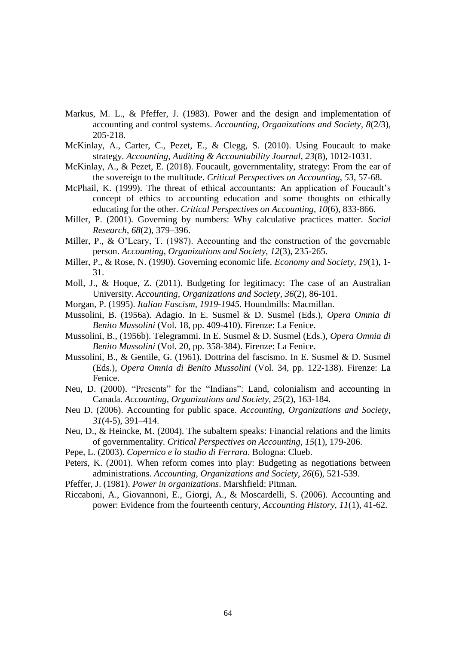- Markus, M. L., & Pfeffer, J. (1983). Power and the design and implementation of accounting and control systems. *Accounting, Organizations and Society*, *8*(2/3), 205-218.
- McKinlay, A., Carter, C., Pezet, E., & Clegg, S. (2010). Using Foucault to make strategy. *Accounting, Auditing & Accountability Journal, 23*(8), 1012-1031.
- McKinlay, A., & Pezet, E. (2018). Foucault, governmentality, strategy: From the ear of the sovereign to the multitude. *Critical Perspectives on Accounting*, *53*, 57-68.
- McPhail, K. (1999). The threat of ethical accountants: An application of Foucault's concept of ethics to accounting education and some thoughts on ethically educating for the other. *Critical Perspectives on Accounting*, *10*(6), 833-866.
- Miller, P. (2001). Governing by numbers: Why calculative practices matter. *Social Research*, *68*(2), 379–396.
- Miller, P., & O'Leary, T. (1987). Accounting and the construction of the governable person. *Accounting, Organizations and Society*, *12*(3), 235-265.
- Miller, P., & Rose, N. (1990). Governing economic life. *Economy and Society*, *19*(1), 1- 31.
- Moll, J., & Hoque, Z. (2011). Budgeting for legitimacy: The case of an Australian University. *Accounting, Organizations and Society*, *36*(2), 86-101.
- Morgan, P. (1995). *Italian Fascism, 1919-1945*. Houndmills: Macmillan.
- Mussolini, B. (1956a). Adagio. In E. Susmel & D. Susmel (Eds.), *Opera Omnia di Benito Mussolini* (Vol. 18, pp. 409-410). Firenze: La Fenice.
- Mussolini, B., (1956b). Telegrammi. In E. Susmel & D. Susmel (Eds.), *Opera Omnia di Benito Mussolini* (Vol. 20, pp. 358-384). Firenze: La Fenice.
- Mussolini, B., & Gentile, G. (1961). Dottrina del fascismo. In E. Susmel & D. Susmel (Eds.), *Opera Omnia di Benito Mussolini* (Vol. 34, pp. 122-138). Firenze: La Fenice.
- Neu, D. (2000). "Presents" for the "Indians": Land, colonialism and accounting in Canada. *Accounting, Organizations and Society, 25*(2), 163-184.
- Neu D. (2006). Accounting for public space. *Accounting, Organizations and Society*, *31*(4-5), 391–414.
- Neu, D., & Heincke, M. (2004). The subaltern speaks: Financial relations and the limits of governmentality. *Critical Perspectives on Accounting*, *15*(1), 179-206.
- Pepe, L. (2003). *Copernico e lo studio di Ferrara*. Bologna: Clueb.
- Peters, K. (2001). When reform comes into play: Budgeting as negotiations between administrations. *Accounting, Organizations and Society*, *26*(6), 521-539.
- Pfeffer, J. (1981). *Power in organizations*. Marshfield: Pitman.
- Riccaboni, A., Giovannoni, E., Giorgi, A., & Moscardelli, S. (2006). Accounting and power: Evidence from the fourteenth century, *Accounting History, 11*(1), 41-62.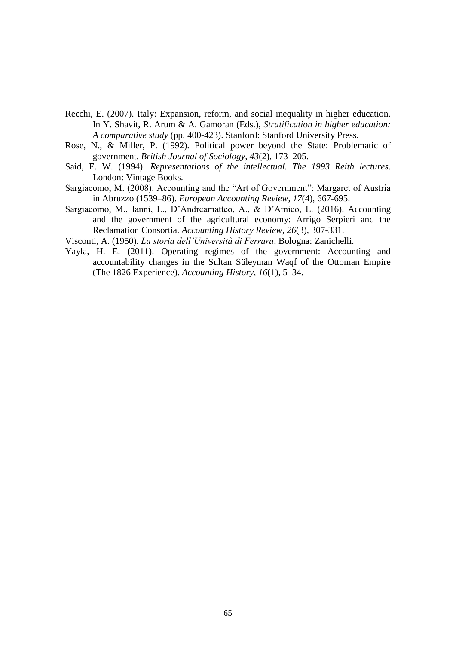- Recchi, E. (2007). Italy: Expansion, reform, and social inequality in higher education. In Y. Shavit, R. Arum & A. Gamoran (Eds.), *Stratification in higher education: A comparative study* (pp. 400-423). Stanford: Stanford University Press.
- Rose, N., & Miller, P. (1992). Political power beyond the State: Problematic of government. *British Journal of Sociology, 43*(2), 173–205.
- Said, E. W. (1994). *Representations of the intellectual. The 1993 Reith lectures*. London: Vintage Books.
- Sargiacomo, M. (2008). Accounting and the "Art of Government": Margaret of Austria in Abruzzo (1539–86). *European Accounting Review*, *17*(4), 667-695.
- Sargiacomo, M., Ianni, L., D'Andreamatteo, A., & D'Amico, L. (2016). Accounting and the government of the agricultural economy: Arrigo Serpieri and the Reclamation Consortia. *Accounting History Review*, *26*(3), 307-331.

Visconti, A. (1950). *La storia dell'Università di Ferrara*. Bologna: Zanichelli.

Yayla, H. E. (2011). Operating regimes of the government: Accounting and accountability changes in the Sultan Süleyman Waqf of the Ottoman Empire (The 1826 Experience). *Accounting History*, *16*(1), 5–34.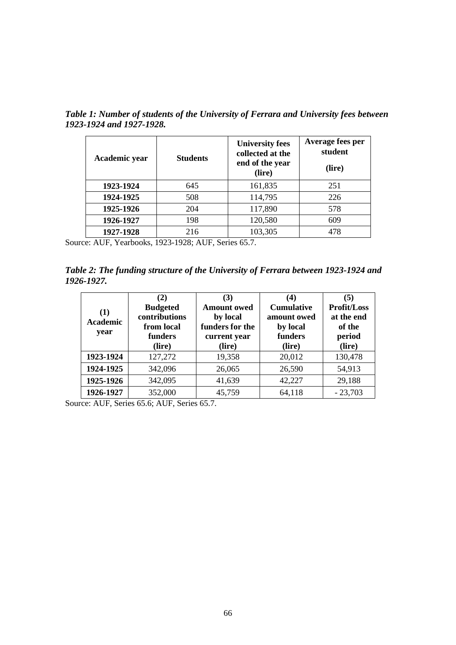| Academic year | <b>Students</b> | <b>University fees</b><br>collected at the<br>end of the year<br>(lire) | Average fees per<br>student<br>(lire) |  |
|---------------|-----------------|-------------------------------------------------------------------------|---------------------------------------|--|
| 1923-1924     | 645             | 161,835                                                                 | 251                                   |  |
| 1924-1925     | 508             | 114,795                                                                 | 226                                   |  |
| 1925-1926     | 204             | 117,890                                                                 | 578                                   |  |
| 1926-1927     | 198             | 120,580                                                                 | 609                                   |  |
| 1927-1928     | 216             | 103,305                                                                 | 478                                   |  |

*Table 1: Number of students of the University of Ferrara and University fees between 1923-1924 and 1927-1928.* 

Source: AUF, Yearbooks, 1923-1928; AUF, Series 65.7.

*Table 2: The funding structure of the University of Ferrara between 1923-1924 and 1926-1927.* 

| (1)<br><b>Academic</b><br>year | (2)<br><b>Budgeted</b><br>contributions<br>from local<br>funders<br>(lire) | (3)<br><b>Amount</b> owed<br>by local<br>funders for the<br>current year<br>(lire) | $\bf{4}$<br><b>Cumulative</b><br>amount owed<br>by local<br>funders<br>(lire) | (5)<br><b>Profit/Loss</b><br>at the end<br>of the<br>period<br>(lire) |
|--------------------------------|----------------------------------------------------------------------------|------------------------------------------------------------------------------------|-------------------------------------------------------------------------------|-----------------------------------------------------------------------|
| 1923-1924                      | 127,272                                                                    | 19,358                                                                             | 20,012                                                                        | 130,478                                                               |
| 1924-1925                      | 342,096                                                                    | 26,065                                                                             | 26,590                                                                        | 54,913                                                                |
| 1925-1926                      | 342,095                                                                    | 41,639                                                                             | 42,227                                                                        | 29,188                                                                |
| 1926-1927                      | 352,000                                                                    | 45,759                                                                             | 64,118                                                                        | $-23,703$                                                             |

Source: AUF, Series 65.6; AUF, Series 65.7.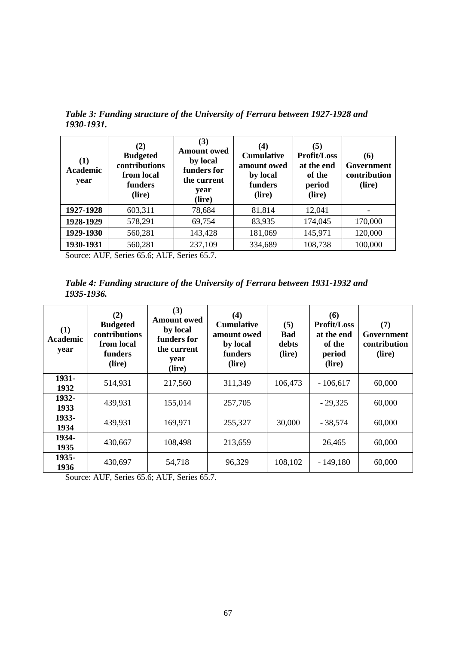| (1)<br><b>Academic</b><br>year | (2)<br><b>Budgeted</b><br>contributions<br>from local<br>funders<br>(lire) | (3)<br><b>Amount owed</b><br>by local<br>funders for<br>the current<br>year<br>(lire) | $\left( 4\right)$<br><b>Cumulative</b><br>amount owed<br>by local<br>funders<br>(lire) | (5)<br><b>Profit/Loss</b><br>at the end<br>of the<br>period<br>(lire) | (6)<br>Government<br>contribution<br>(lire) |
|--------------------------------|----------------------------------------------------------------------------|---------------------------------------------------------------------------------------|----------------------------------------------------------------------------------------|-----------------------------------------------------------------------|---------------------------------------------|
| 1927-1928                      | 603,311                                                                    | 78,684                                                                                | 81,814                                                                                 | 12,041                                                                |                                             |
| 1928-1929                      | 578,291                                                                    | 69,754                                                                                | 83,935                                                                                 | 174,045                                                               | 170,000                                     |
| 1929-1930                      | 560,281                                                                    | 143,428                                                                               | 181,069                                                                                | 145,971                                                               | 120,000                                     |
| 1930-1931                      | 560,281                                                                    | 237,109                                                                               | 334,689                                                                                | 108,738                                                               | 100,000                                     |

*Table 3: Funding structure of the University of Ferrara between 1927-1928 and 1930-1931.* 

Source: AUF, Series 65.6; AUF, Series 65.7.

*Table 4: Funding structure of the University of Ferrara between 1931-1932 and 1935-1936.* 

| (1)<br><b>Academic</b><br>year | (2)<br><b>Budgeted</b><br>contributions<br>from local<br>funders<br>(lire) | (3)<br><b>Amount owed</b><br>by local<br>funders for<br>the current<br>year<br>(lire) | (4)<br><b>Cumulative</b><br>amount owed<br>by local<br><b>funders</b><br>(lire) | (5)<br>Bad<br>debts<br>(lire) | (6)<br><b>Profit/Loss</b><br>at the end<br>of the<br>period<br>(lire) | (7)<br>Government<br>contribution<br>(lire) |
|--------------------------------|----------------------------------------------------------------------------|---------------------------------------------------------------------------------------|---------------------------------------------------------------------------------|-------------------------------|-----------------------------------------------------------------------|---------------------------------------------|
| 1931-<br>1932                  | 514,931                                                                    | 217,560                                                                               | 311,349                                                                         | 106,473                       | $-106,617$                                                            | 60,000                                      |
| 1932-<br>1933                  | 439,931                                                                    | 155,014                                                                               | 257,705                                                                         |                               | $-29,325$                                                             | 60,000                                      |
| 1933-<br>1934                  | 439,931                                                                    | 169,971                                                                               | 255,327                                                                         | 30,000                        | $-38,574$                                                             | 60,000                                      |
| 1934-<br>1935                  | 430,667                                                                    | 108,498                                                                               | 213,659                                                                         |                               | 26,465                                                                | 60,000                                      |
| 1935-<br>1936                  | 430,697                                                                    | 54,718                                                                                | 96,329                                                                          | 108,102                       | $-149,180$                                                            | 60,000                                      |

Source: AUF, Series 65.6; AUF, Series 65.7.